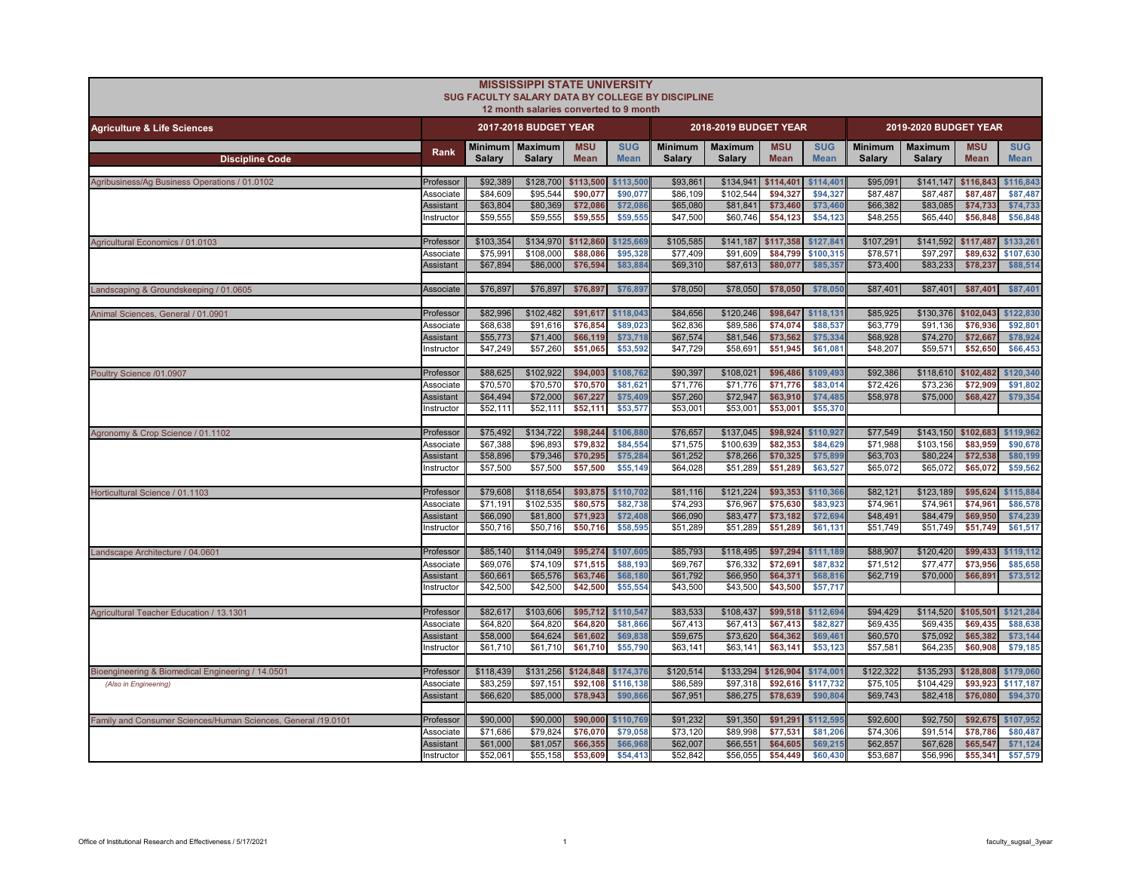|                                                               |                               |                      | <b>MISSISSIPPI STATE UNIVERSITY</b><br>12 month salaries converted to 9 month | SUG FACULTY SALARY DATA BY COLLEGE BY DISCIPLINE |                           |                                 |                          |                               |                           |                          |                          |                           |                           |
|---------------------------------------------------------------|-------------------------------|----------------------|-------------------------------------------------------------------------------|--------------------------------------------------|---------------------------|---------------------------------|--------------------------|-------------------------------|---------------------------|--------------------------|--------------------------|---------------------------|---------------------------|
| <b>Agriculture &amp; Life Sciences</b>                        |                               |                      | 2017-2018 BUDGET YEAR                                                         |                                                  |                           |                                 | 2018-2019 BUDGET YEAR    |                               |                           |                          | 2019-2020 BUDGET YEAR    |                           |                           |
| <b>Discipline Code</b>                                        | Rank                          | <b>Salary</b>        | Minimum   Maximum<br>Salary                                                   | <b>MSU</b><br><b>Mean</b>                        | <b>SUG</b><br><b>Mean</b> | <b>Minimum</b><br><b>Salary</b> | <b>Maximum</b><br>Salary | <b>MSU</b><br><b>Mean</b>     | <b>SUG</b><br><b>Mean</b> | <b>Minimum</b><br>Salary | <b>Maximum</b><br>Salary | <b>MSU</b><br><b>Mean</b> | <b>SUG</b><br><b>Mean</b> |
| Agribusiness/Ag Business Operations / 01.0102                 | Professor                     | \$92,389             | \$128,700                                                                     | \$113,500                                        | \$113,500                 | \$93,861                        | \$134,941                | \$114,401                     | \$114,401                 | \$95,091                 | \$141,147 \$116,843      |                           | \$116,843                 |
|                                                               | Associate                     | \$84,609             | \$95,544                                                                      | \$90,077                                         | \$90,077                  | \$86,109                        | \$102,544                | \$94,327                      | \$94,327                  | \$87,487                 | \$87,487                 | \$87,487                  | \$87,487                  |
|                                                               | Assistant<br>nstructor        | \$63,804<br>\$59,555 | \$80,369<br>\$59,555                                                          | \$72,086<br>\$59,555                             | \$72,08<br>\$59,555       | \$65,080<br>\$47,500            | \$81,841<br>\$60,746     | \$73,460<br>\$54,123          | \$73,460<br>\$54,123      | \$66,382<br>\$48,255     | \$83,085<br>\$65,440     | \$74,733<br>\$56,848      | \$74,733<br>\$56,848      |
| Agricultural Economics / 01.0103                              | Professor                     | \$103,354            | \$134,970                                                                     | \$112,860                                        | \$125.66                  | \$105,585                       | \$141,187                | \$117,358                     | \$127,841                 | \$107,291                |                          | \$141,592 \$117,487       | \$133,261                 |
|                                                               | Associate<br>Assistant        | \$75,991<br>\$67,894 | \$108,000<br>\$86,000                                                         | \$88,086<br>\$76,594                             | \$95,328<br>\$83,88       | \$77,409<br>\$69,310            | \$91,609<br>\$87,613     | \$84,799<br>\$80,077          | \$100,315<br>\$85,357     | \$78,571<br>\$73,400     | \$97,297<br>\$83,233     | \$89,632<br>\$78,237      | \$107,630<br>\$88,514     |
| Landscaping & Groundskeeping / 01.0605                        | Associate                     | \$76,897             | \$76,897                                                                      | \$76,897                                         | \$76,897                  | \$78,050                        | \$78,050                 | \$78,050                      | \$78,050                  | \$87,401                 | \$87,401                 | \$87,401                  | \$87,401                  |
|                                                               |                               |                      |                                                                               |                                                  |                           |                                 |                          |                               |                           |                          |                          |                           |                           |
| Animal Sciences, General / 01.0901                            | Professor                     | \$82,996             | \$102,482                                                                     | \$91,617                                         | \$118,043                 | \$84,656                        | \$120,246                | \$98,647                      | \$118,131                 | \$85,925                 |                          | \$130,376 \$102,043       | \$122.830                 |
|                                                               | Associate                     | \$68,638             | \$91,616                                                                      | \$76,854                                         | \$89,023                  | \$62,836                        | \$89,586                 | \$74,074                      | \$88,537                  | \$63,779                 | \$91,136                 | \$76,936                  | \$92,801                  |
|                                                               | <b>Assistant</b><br>nstructor | \$55,773<br>\$47,249 | \$71,400<br>\$57,260                                                          | \$66,119<br>\$51,065                             | \$73,718<br>\$53,592      | \$67,574<br>\$47,729            | \$81,546<br>\$58,691     | \$73,562<br>\$51,945          | \$75,334<br>\$61,08       | \$68,928<br>\$48,207     | \$74,270<br>\$59,571     | \$72,667<br>\$52,650      | \$78,924<br>\$66,453      |
|                                                               |                               |                      |                                                                               |                                                  |                           |                                 |                          |                               |                           |                          |                          |                           |                           |
| Poultry Science /01.0907                                      | Professor                     | \$88,625             | \$102,922                                                                     | \$94,003                                         | \$108,762                 | \$90,397                        | \$108,021                | \$96,486                      | \$109,493                 | \$92,386                 |                          | \$118,610 \$102,482       | \$120,340                 |
|                                                               | Associate                     | \$70,570             | \$70,570                                                                      | \$70,570                                         | \$81,621                  | \$71,776                        | \$71,776                 | \$71,776                      | \$83,014                  | \$72,426                 | \$73,236                 | \$72,909                  | \$91,802                  |
|                                                               | <b>Assistant</b>              | \$64,494             | \$72,000                                                                      | \$67,227                                         | \$75,409                  | \$57,260                        | \$72,947                 | \$63,910                      | \$74,485                  | \$58,978                 | \$75,000                 | \$68,427                  | \$79,354                  |
|                                                               | Instructor                    | \$52,111             | \$52,111                                                                      | \$52,111                                         | \$53,577                  | \$53,001                        | \$53,001                 | \$53,001                      | \$55,370                  |                          |                          |                           |                           |
| Agronomy & Crop Science / 01.1102                             | Professor                     | \$75,492             | \$134,722                                                                     | \$98,244                                         | \$106,88                  | \$76,657                        | \$137,045                | \$98,924                      | \$110,927                 | \$77,549                 |                          | \$143,150 \$102,683       | \$119,962                 |
|                                                               | Associate                     | \$67,388             | \$96,893                                                                      | \$79.832                                         | \$84.554                  | \$71,575                        | \$100.639                | \$82.353                      | \$84,629                  | \$71,988                 | \$103,156                | \$83,959                  | \$90,678                  |
|                                                               | Assistant                     | \$58,896             | \$79,346                                                                      | \$70,295                                         | \$75,284                  | \$61,252                        | \$78,266                 | \$70,325                      | \$75,899                  | \$63,703                 | \$80,224                 | \$72,538                  | \$80,199                  |
|                                                               | Instructor                    | \$57,500             | \$57,500                                                                      | \$57,500                                         | \$55,149                  | \$64,028                        | \$51,289                 | \$51,289                      | \$63,527                  | \$65,072                 | \$65,072                 | \$65,072                  | \$59,562                  |
| Horticultural Science / 01.1103                               | Professor                     | \$79,608             | \$118,654                                                                     | \$93,875                                         | \$110,702                 | \$81,116                        | \$121,224                | \$93,353                      | \$110,366                 | \$82,121                 | \$123,189                | \$95,624                  | \$115,884                 |
|                                                               | Associate                     | \$71.191             | \$102.535                                                                     | \$80,575                                         | \$82,738                  | \$74,293                        | \$76,967                 | \$75,630                      | \$83,923                  | \$74,961                 | \$74.961                 | \$74.961                  | \$86,578                  |
|                                                               | <b>Assistant</b>              | \$66,090             | \$81,800                                                                      | \$71,923                                         | \$72,408                  | \$66,090                        | \$83,477                 | \$73,182                      | \$72,694                  | \$48,491                 | \$84,479                 | \$69,950                  | \$74,239                  |
|                                                               | Instructor                    | \$50,716             | \$50,716                                                                      | \$50,716                                         | \$58,595                  | \$51,289                        | \$51,289                 | \$51,289                      | \$61,131                  | \$51,749                 | \$51,749                 | \$51,749                  | \$61,517                  |
| Landscape Architecture / 04.0601                              | Professor                     | \$85,140             | \$114,049                                                                     | \$95,274                                         | \$107,605                 | \$85,793                        | \$118,495                | \$97,294                      | \$111,189                 | \$88,907                 | \$120,420                | \$99,433                  | \$119,112                 |
|                                                               | Associate                     | \$69,076             | \$74,109                                                                      | \$71,515                                         | \$88,193                  | \$69,767                        | \$76,332                 | \$72,691                      | \$87,832                  | \$71,512                 | \$77,477                 | \$73,956                  | \$85,658                  |
|                                                               | <b>Assistant</b>              | \$60,661             | \$65,576                                                                      | \$63,746                                         | \$68,180                  | \$61,792                        | \$66,950                 | \$64,371                      | \$68,816                  | \$62,719                 | \$70,000                 | \$66,891                  | \$73,512                  |
|                                                               | nstructor                     | \$42,500             | \$42,500                                                                      | \$42,500                                         | \$55,554                  | \$43,500                        | \$43,500                 | \$43,500                      | \$57,717                  |                          |                          |                           |                           |
| Agricultural Teacher Education / 13.1301                      | Professor                     | \$82,617             | \$103,606                                                                     | \$95,712                                         | \$110,547                 | \$83,533                        | \$108,437                | \$99,518                      | \$112,694                 | \$94,429                 |                          | \$114,520 \$105,501       | \$121,284                 |
|                                                               | Associate                     | \$64,820             | \$64,820                                                                      | \$64,820                                         | \$81.866                  | \$67,413                        | \$67,413                 | \$67.413                      | \$82,827                  | \$69,435                 | \$69,435                 | \$69,435                  | \$88,638                  |
|                                                               | Assistant                     | \$58,000             | \$64,624                                                                      | \$61,602                                         | \$69,838                  | \$59,675                        | \$73,620                 | \$64,362                      | \$69,461                  | \$60,570                 | \$75,092                 | \$65,382                  | \$73,144                  |
|                                                               | Instructor                    | \$61,710             | \$61,710                                                                      | \$61,710                                         | \$55,790                  | \$63,141                        | \$63,141                 | \$63,141                      | \$53,123                  | \$57,581                 | \$64,235                 | \$60,908                  | \$79,185                  |
| Bioengineering & Biomedical Engineering / 14.0501             | Professor                     | \$118,439            | \$131,256 \$124,848 \$174,376                                                 |                                                  |                           | \$120,514                       |                          | \$133,294 \$126,904 \$174,001 |                           | \$122,322                |                          | \$135,293 \$128,808       | \$179,060                 |
| (Also in Engineering)                                         | Associate                     | \$83,259             | \$97.151                                                                      | \$92.108                                         | \$116,138                 | \$86,589                        | \$97,318                 | \$92.616                      | \$117,732                 | \$75,105                 | \$104.429                | \$93.923                  | \$117.187                 |
|                                                               | <b>Assistant</b>              | \$66,620             | \$85,000                                                                      | \$78,943                                         | \$90,86                   | \$67,951                        | \$86,275                 | \$78,639                      | \$90,80                   | \$69,743                 | \$82,418                 | \$76,080                  | \$94,370                  |
| Family and Consumer Sciences/Human Sciences, General /19.0101 | Professor                     | \$90,000             | \$90,000                                                                      | \$90,000                                         | \$110,769                 | \$91,232                        | \$91,350                 | \$91,291                      | \$112,595                 | \$92,600                 | \$92,750                 | \$92,675                  | \$107,952                 |
|                                                               | Associate                     | \$71,686             | \$79,824                                                                      | \$76,070                                         | \$79,058                  | \$73.120                        | \$89,998                 | \$77,531                      | \$81,206                  | \$74,306                 | \$91,514                 | \$78.786                  | \$80,487                  |
|                                                               | <b>Assistant</b>              | \$61,000             | \$81,057                                                                      | \$66,355                                         | \$66,96                   | \$62,007                        | \$66,551                 | \$64,605                      | \$69,215                  | \$62,857                 | \$67,628                 | \$65,547                  | \$71,124                  |
|                                                               | Instructor                    | \$52,061             | \$55,158                                                                      | \$53,609                                         | \$54,413                  | \$52,842                        | \$56,055                 | \$54,449                      | \$60,430                  | \$53,687                 | \$56,996                 | \$55,341                  | \$57,579                  |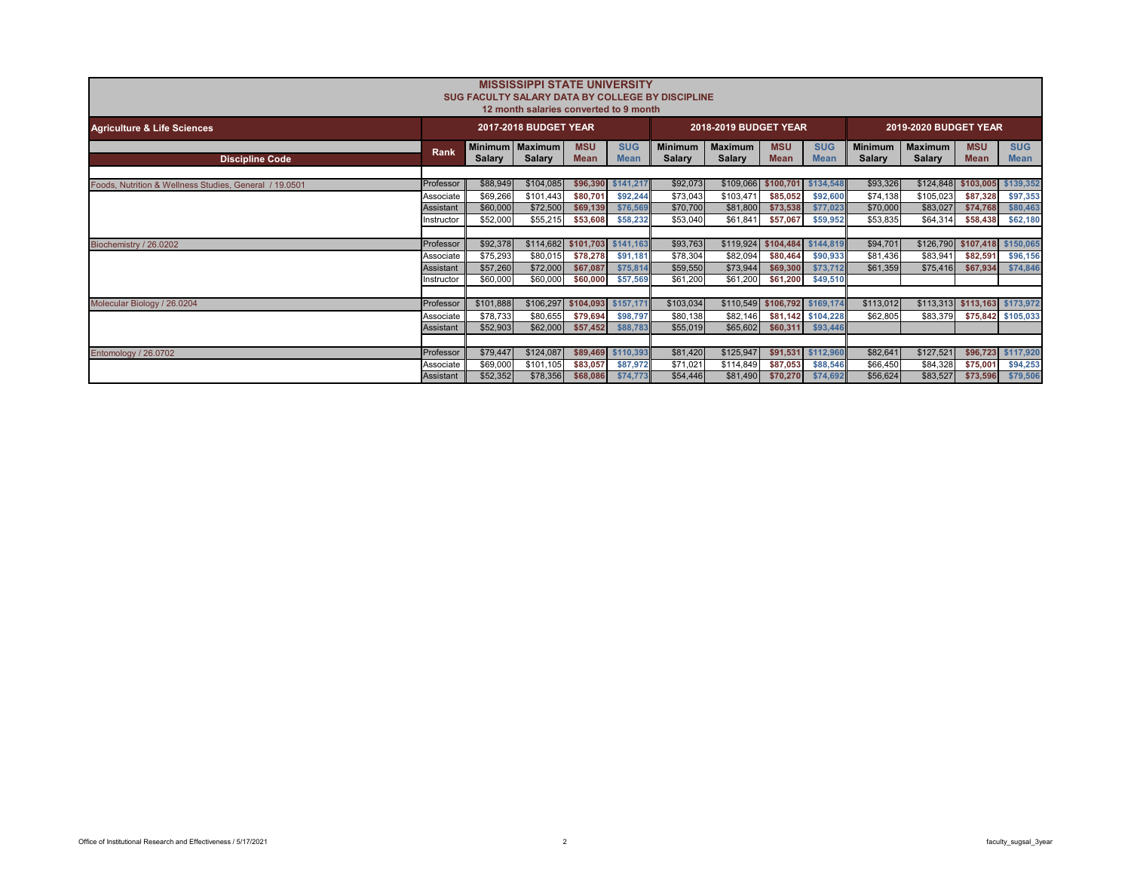|                                                        | <b>MISSISSIPPI STATE UNIVERSITY</b><br>SUG FACULTY SALARY DATA BY COLLEGE BY DISCIPLINE<br>12 month salaries converted to 9 month |                                  |                       |                           |                           |                                 |                          |                               |                                |                                 |                                 |                           |                               |  |  |
|--------------------------------------------------------|-----------------------------------------------------------------------------------------------------------------------------------|----------------------------------|-----------------------|---------------------------|---------------------------|---------------------------------|--------------------------|-------------------------------|--------------------------------|---------------------------------|---------------------------------|---------------------------|-------------------------------|--|--|
| <b>Agriculture &amp; Life Sciences</b>                 |                                                                                                                                   |                                  | 2017-2018 BUDGET YEAR |                           |                           |                                 | 2018-2019 BUDGET YEAR    |                               |                                |                                 | 2019-2020 BUDGET YEAR           |                           |                               |  |  |
| <b>Discipline Code</b>                                 | Rank                                                                                                                              | Minimum Maximum<br><b>Salary</b> | <b>Salary</b>         | <b>MSU</b><br><b>Mean</b> | <b>SUG</b><br><b>Mean</b> | <b>Minimum</b><br><b>Salary</b> | <b>Maximum</b><br>Salary | <b>MSU</b><br><b>Mean</b>     | <b>SUG</b><br><b>Mean</b>      | <b>Minimum</b><br><b>Salary</b> | <b>Maximum</b><br><b>Salary</b> | <b>MSU</b><br><b>Mean</b> | <b>SUG</b><br><b>Mean</b>     |  |  |
| Foods, Nutrition & Wellness Studies, General / 19,0501 | Professor                                                                                                                         | \$88,949                         | \$104,085             | \$96,390                  | \$141,217                 | \$92,073                        |                          | \$109,066 \$100,701           | \$134,548                      | \$93,326                        | \$124,848                       | \$103,005                 | \$139,352                     |  |  |
|                                                        | Associate                                                                                                                         | \$69,266                         | \$101,443             | \$80,701                  | \$92,244                  | \$73,043                        | \$103,471                | \$85,052                      | \$92,600                       | \$74,138                        | \$105,023                       | \$87,328                  | \$97,353                      |  |  |
|                                                        | Assistant                                                                                                                         | \$60,000                         | \$72,500              | \$69,139                  | \$76,569                  | \$70,700                        | \$81,800                 | \$73,538                      | \$77,023                       | \$70,000                        | \$83,027                        | \$74,768                  | \$80,463                      |  |  |
|                                                        | nstructor                                                                                                                         | \$52,000                         | \$55,215              | \$53,608                  | \$58,232                  | \$53,040                        | \$61,841                 | \$57,067                      | \$59,952                       | \$53,835                        | \$64,314                        | \$58,438                  | \$62,180                      |  |  |
|                                                        |                                                                                                                                   |                                  |                       |                           |                           |                                 |                          |                               |                                |                                 |                                 |                           |                               |  |  |
| Biochemistry / 26.0202                                 | Professor                                                                                                                         | \$92,378                         | \$114,682             |                           | \$101,703 \$141,163       | \$93,763                        |                          | \$119,924 \$104,484           | \$144,819                      | \$94,701                        | \$126,790                       | \$107,418                 | \$150,065                     |  |  |
|                                                        | Associate                                                                                                                         | \$75,293                         | \$80,015              | \$78,278                  | \$91,181                  | \$78,304                        | \$82,094                 | \$80,464                      | \$90,933                       | \$81,436                        | \$83,941                        | \$82,591                  | \$96,156                      |  |  |
|                                                        | Assistant                                                                                                                         | \$57,260                         | \$72,000              | \$67,087                  | \$75,814                  | \$59,550                        | \$73,944                 | \$69,300                      | \$73,712                       | \$61,359                        | \$75,416                        | \$67,934                  | \$74,846                      |  |  |
|                                                        | nstructor                                                                                                                         | \$60,000                         | \$60,000              | \$60,000                  | \$57,569                  | \$61,200                        | \$61,200                 | \$61,200                      | \$49,510                       |                                 |                                 |                           |                               |  |  |
|                                                        |                                                                                                                                   |                                  |                       |                           |                           |                                 |                          |                               |                                |                                 |                                 |                           |                               |  |  |
| Molecular Biology / 26.0204                            | Professor                                                                                                                         | \$101,888                        | \$106,297             | \$104,093 \$157,171       |                           | \$103,034                       |                          | \$110,549 \$106,792 \$169,174 |                                | \$113,012                       |                                 |                           | \$113,313 \$113,163 \$173,972 |  |  |
|                                                        | Associate<br>Assistant                                                                                                            | \$78,733<br>\$52,903             | \$80,655<br>\$62,000  | \$79,694<br>\$57,452      | \$98,797<br>\$88,783      | \$80,138<br>\$55,019            | \$82,146<br>\$65,602     | \$60,311                      | \$81,142 \$104,228<br>\$93,446 | \$62,805                        | \$83,379                        |                           | \$75,842 \$105,033            |  |  |
|                                                        |                                                                                                                                   |                                  |                       |                           |                           |                                 |                          |                               |                                |                                 |                                 |                           |                               |  |  |
| Entomology / 26.0702                                   | Professor                                                                                                                         | \$79,447                         | \$124,087             | \$89,469                  | \$110,393                 | \$81,420                        | \$125,947                | \$91,531                      | \$112,960                      | \$82,641                        | \$127,521                       | \$96,723                  | \$117,920                     |  |  |
|                                                        | Associate                                                                                                                         | \$69,000                         | \$101,105             | \$83,057                  | \$87,972                  | \$71,021                        | \$114,849                | \$87,053                      | \$88,546                       | \$66,450                        | \$84,328                        | \$75,001                  | \$94,253                      |  |  |
|                                                        | Assistant                                                                                                                         | \$52,352                         | \$78,356              | \$68,086                  | \$74,773                  | \$54,446                        | \$81,490                 | \$70,270                      | \$74,692                       | \$56,624                        | \$83,527                        | \$73,596                  | \$79,506                      |  |  |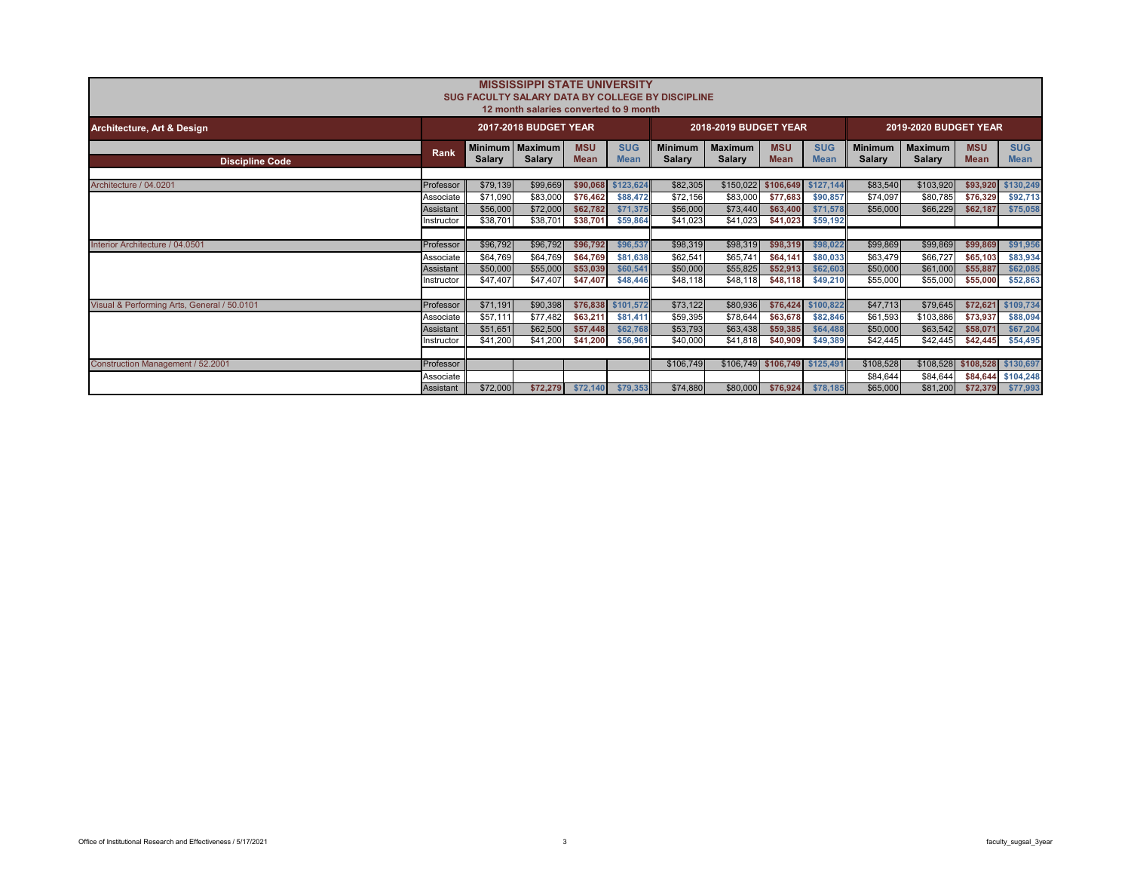|                                             |            |                                 | <b>MISSISSIPPI STATE UNIVERSITY</b><br>SUG FACULTY SALARY DATA BY COLLEGE BY DISCIPLINE |                           |                           |                                 |                                 |                           |                           |                          |                          |                               |                           |
|---------------------------------------------|------------|---------------------------------|-----------------------------------------------------------------------------------------|---------------------------|---------------------------|---------------------------------|---------------------------------|---------------------------|---------------------------|--------------------------|--------------------------|-------------------------------|---------------------------|
|                                             |            |                                 | 12 month salaries converted to 9 month                                                  |                           |                           |                                 |                                 |                           |                           |                          |                          |                               |                           |
| Architecture, Art & Design                  |            |                                 | <b>2017-2018 BUDGET YEAR</b>                                                            |                           |                           |                                 | 2018-2019 BUDGET YEAR           |                           |                           |                          | 2019-2020 BUDGET YEAR    |                               |                           |
| <b>Discipline Code</b>                      | Rank       | <b>Minimum</b><br><b>Salary</b> | <b>Maximum</b><br>Salary                                                                | <b>MSU</b><br><b>Mean</b> | <b>SUG</b><br><b>Mean</b> | <b>Minimum</b><br><b>Salary</b> | <b>Maximum</b><br><b>Salary</b> | <b>MSU</b><br><b>Mean</b> | <b>SUG</b><br><b>Mean</b> | <b>Minimum</b><br>Salary | <b>Maximum</b><br>Salary | <b>MSU</b><br><b>Mean</b>     | <b>SUG</b><br><b>Mean</b> |
|                                             |            |                                 |                                                                                         |                           |                           |                                 |                                 |                           |                           |                          |                          |                               |                           |
| Architecture / 04.0201                      | Professor  | \$79,139                        | \$99,669                                                                                | \$90,068                  | \$123.624                 | \$82,305                        | \$150,022                       | \$106.649                 | \$127,144                 | \$83,540                 | \$103,920                | \$93.920                      | \$130,249                 |
|                                             | Associate  | \$71,090                        | \$83,000                                                                                | \$76,462                  | \$88,472                  | \$72,156                        | \$83,000                        | \$77.683                  | \$90,857                  | \$74,097                 | \$80,785                 | \$76,329                      | \$92,713                  |
|                                             | Assistant  | \$56,000                        | \$72,000                                                                                | \$62,782                  | \$71.375                  | \$56,000                        | \$73,440                        | \$63,400                  | \$71,578                  | \$56,000                 | \$66,229                 | \$62,187                      | \$75,058                  |
|                                             | Instructor | \$38,701                        | \$38,701                                                                                | \$38,701                  | \$59,864                  | \$41.023                        | \$41,023                        | \$41,023                  | \$59,192                  |                          |                          |                               |                           |
|                                             |            |                                 |                                                                                         |                           |                           |                                 |                                 |                           |                           |                          |                          |                               |                           |
| Interior Architecture / 04.0501             | Professor  | \$96,792                        | \$96,792                                                                                | \$96,792                  | \$96,537                  | \$98,319                        | \$98,319                        | \$98,319                  | \$98,022                  | \$99,869                 | \$99,869                 | \$99,869                      | \$91,956                  |
|                                             | Associate  | \$64,769                        | \$64,769                                                                                | \$64,769                  | \$81,638                  | \$62,541                        | \$65,741                        | \$64,141                  | \$80,033                  | \$63,479                 | \$66,727                 | \$65,103                      | \$83,934                  |
|                                             | Assistant  | \$50,000                        | \$55,000                                                                                | \$53,039                  | \$60,541                  | \$50,000                        | \$55,825                        | \$52.913                  | \$62,603                  | \$50,000                 | \$61,000                 | \$55,887                      | \$62,085                  |
|                                             | nstructor  | \$47.407                        | \$47,407                                                                                | \$47.407                  | \$48,446                  | \$48.118                        | \$48.118                        | \$48,118                  | \$49,210                  | \$55,000                 | \$55,000                 | \$55,000                      | \$52,863                  |
|                                             |            |                                 |                                                                                         |                           |                           |                                 |                                 |                           |                           |                          |                          |                               |                           |
| Visual & Performing Arts, General / 50.0101 | Professor  | \$71,191                        | \$90,398                                                                                |                           | \$76,838 \$101,572        | \$73,122                        | \$80,936                        | \$76,424                  | \$100,822                 | \$47,713                 | \$79.645                 | \$72.621                      | \$109,734                 |
|                                             | Associate  | \$57,111                        | \$77,482                                                                                | \$63,211                  | \$81,411                  | \$59,395                        | \$78,644                        | \$63,678                  | \$82,846                  | \$61.593                 | \$103,886                | \$73,937                      | \$88,094                  |
|                                             | Assistant  | \$51.651                        | \$62,500                                                                                | \$57,448                  | \$62,768                  | \$53,793                        | \$63,438                        | \$59,385                  | \$64,488                  | \$50,000                 | \$63,542                 | \$58,071                      | \$67,204                  |
|                                             | nstructor  | \$41,200                        | \$41,200                                                                                | \$41.200                  | \$56,961                  | \$40,000                        | \$41,818                        | \$40,909                  | \$49,389                  | \$42,445                 | \$42.445                 | \$42,445                      | \$54,495                  |
|                                             |            |                                 |                                                                                         |                           |                           |                                 |                                 |                           |                           |                          |                          |                               |                           |
| <b>Construction Management / 52,2001</b>    | Professor  |                                 |                                                                                         |                           |                           | \$106,749                       | \$106,749 \$106,749             |                           | \$125,491                 | \$108,528                |                          | \$108,528 \$108,528 \$130,697 |                           |
|                                             | Associate  |                                 |                                                                                         |                           |                           |                                 |                                 |                           |                           | \$84.644                 | \$84,644                 |                               | \$84,644 \$104,248        |
|                                             | Assistant  | \$72,000                        | \$72,279                                                                                | \$72,140                  | \$79,353                  | \$74,880                        | \$80,000                        | \$76,924                  | \$78,185                  | \$65,000                 | \$81,200                 | \$72,379                      | \$77,993                  |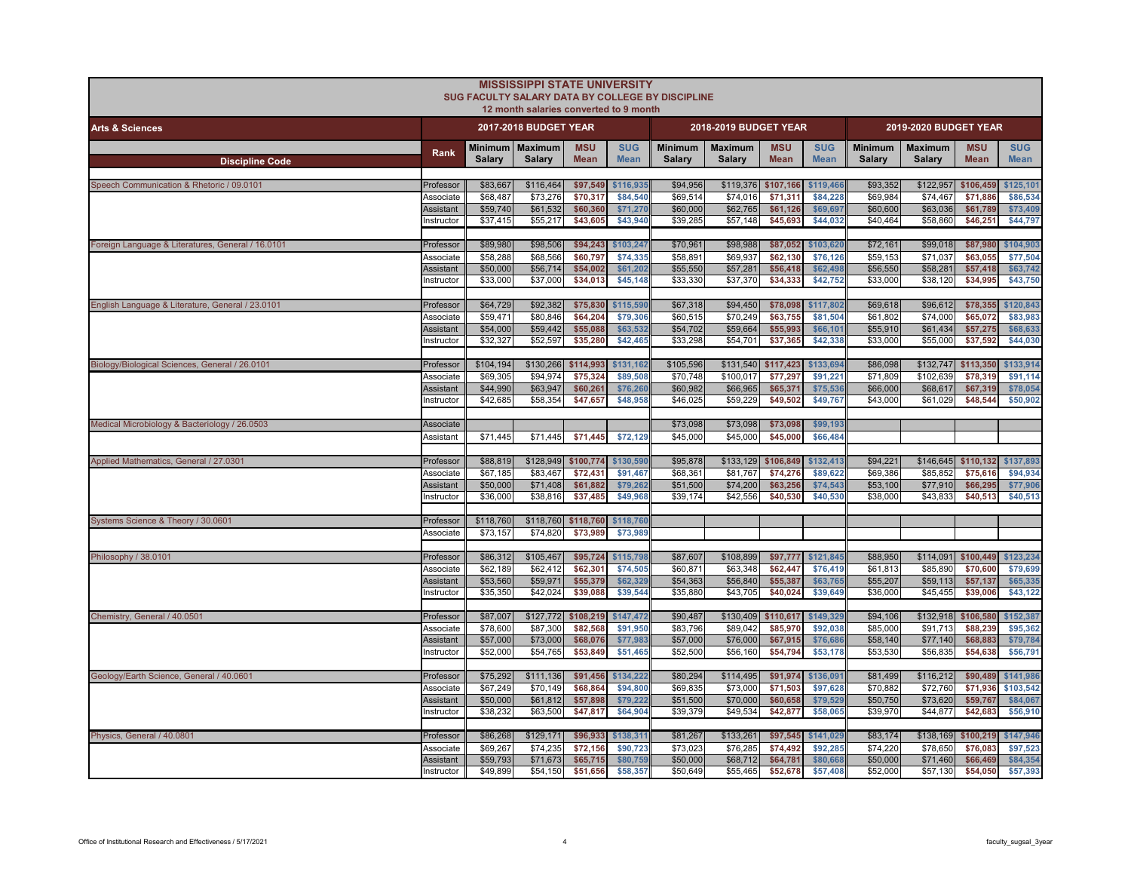|                                                   |                               |                      | <b>MISSISSIPPI STATE UNIVERSITY</b><br>12 month salaries converted to 9 month | SUG FACULTY SALARY DATA BY COLLEGE BY DISCIPLINE |                           |                          |                          |                           |                           |                          |                          |                           |                           |
|---------------------------------------------------|-------------------------------|----------------------|-------------------------------------------------------------------------------|--------------------------------------------------|---------------------------|--------------------------|--------------------------|---------------------------|---------------------------|--------------------------|--------------------------|---------------------------|---------------------------|
| <b>Arts &amp; Sciences</b>                        |                               |                      | 2017-2018 BUDGET YEAR                                                         |                                                  |                           |                          | 2018-2019 BUDGET YEAR    |                           |                           |                          | 2019-2020 BUDGET YEAR    |                           |                           |
| <b>Discipline Code</b>                            | Rank                          | Salary               | Minimum   Maximum<br>Salary                                                   | <b>MSU</b><br><b>Mean</b>                        | <b>SUG</b><br><b>Mean</b> | <b>Minimum</b><br>Salary | <b>Maximum</b><br>Salary | <b>MSU</b><br><b>Mean</b> | <b>SUG</b><br><b>Mean</b> | <b>Minimum</b><br>Salary | <b>Maximum</b><br>Salary | <b>MSU</b><br><b>Mean</b> | <b>SUG</b><br><b>Mean</b> |
| Speech Communication & Rhetoric / 09.0101         | Professor                     | \$83,667             | \$116,464                                                                     | \$97,549                                         | \$116,935                 | \$94,956                 | \$119,376                | \$107,166                 | \$119,466                 | \$93,352                 | \$122,957                | \$106,459                 | \$125,101                 |
|                                                   | Associate<br><b>Assistant</b> | \$68,487<br>\$59,740 | \$73,276<br>\$61,532                                                          | \$70,317<br>\$60,360                             | \$84,540<br>\$71,270      | \$69,514<br>\$60,000     | \$74.016<br>\$62,765     | \$71,311<br>\$61,126      | \$84.228<br>\$69,697      | \$69,984<br>\$60,600     | \$74.467<br>\$63,036     | \$71,886<br>\$61,789      | \$86,534<br>\$73,409      |
|                                                   | Instructor                    | \$37,415             | \$55,217                                                                      | \$43,605                                         | \$43,940                  | \$39,285                 | \$57,148                 | \$45,693                  | \$44,032                  | \$40,464                 | \$58,860                 | \$46,251                  | \$44,797                  |
| Foreign Language & Literatures, General / 16.0101 | Professor                     | \$89,980             | \$98,506                                                                      | \$94,243                                         | \$103.247                 | \$70,961                 | \$98,988                 | \$87,052                  | \$103,620                 | \$72,161                 | \$99,018                 | \$87,980                  | \$104,903                 |
|                                                   | Associate                     | \$58,288             | \$68,566                                                                      | \$60.797                                         | \$74,335                  | \$58,891                 | \$69,937                 | \$62,130                  | \$76,126                  | \$59,153                 | \$71,037                 | \$63,055                  | \$77,504                  |
|                                                   | <b>Assistant</b><br>nstructor | \$50,000<br>\$33,000 | \$56,714<br>\$37,000                                                          | \$54,002<br>\$34,013                             | \$61,202<br>\$45,148      | \$55,550<br>\$33,330     | \$57,281<br>\$37,370     | \$56,418<br>\$34,333      | \$62,498<br>\$42,752      | \$56,550<br>\$33,000     | \$58,281<br>\$38,120     | \$57,418<br>\$34,995      | \$63,742<br>\$43,750      |
| English Language & Literature, General / 23.0101  | Professor                     | \$64,729             | \$92,382                                                                      | \$75,830                                         | \$115,590                 | \$67,318                 | \$94,450                 | \$78,098                  | \$117,802                 | \$69,618                 | \$96,612                 | \$78,355                  | \$120,843                 |
|                                                   | Associate                     | \$59,471             | \$80,846                                                                      | \$64,204                                         | \$79,306                  | \$60,515                 | \$70,249                 | \$63,755                  | \$81,504                  | \$61,802                 | \$74,000                 | \$65,072                  | \$83,98                   |
|                                                   | Assistant<br>nstructor        | \$54,000<br>\$32,327 | \$59,442<br>\$52,597                                                          | \$55,088<br>\$35,280                             | \$63,532<br>\$42,465      | \$54,702<br>\$33,298     | \$59,664<br>\$54,701     | \$55,993<br>\$37,365      | \$66,101<br>\$42,338      | \$55,910<br>\$33,000     | \$61,434<br>\$55,000     | \$57,275<br>\$37,592      | \$68,633<br>\$44,030      |
| Biology/Biological Sciences, General / 26.0101    | Professor                     | \$104,194            | \$130,266                                                                     | \$114,993                                        | \$131,162                 | \$105,596                | \$131,540                | \$117,423                 | \$133,694                 | \$86,098                 | \$132,747                | \$113,350                 | \$133,914                 |
|                                                   | Associate                     | \$69,305             | \$94,974                                                                      | \$75,324                                         | \$89,508                  | \$70,748                 | \$100,017                | \$77,297                  | \$91,221                  | \$71,809                 | \$102,639                | \$78,319                  | \$91,114                  |
|                                                   | Assistant<br>nstructor        | \$44,990<br>\$42,685 | \$63,947<br>\$58,354                                                          | \$60,261<br>\$47,657                             | \$76,260<br>\$48,958      | \$60,982<br>\$46,025     | \$66,965<br>\$59,229     | \$65,371<br>\$49,502      | \$75,536<br>\$49,767      | \$66,000<br>\$43,000     | \$68,617<br>\$61,029     | \$67,319<br>\$48,544      | \$78,054<br>\$50,902      |
| Medical Microbiology & Bacteriology / 26.0503     | Associate                     |                      |                                                                               |                                                  |                           | \$73,098                 | \$73,098                 | \$73,098                  | \$99,193                  |                          |                          |                           |                           |
|                                                   | Assistant                     | \$71,445             | \$71,445                                                                      | \$71,445                                         | \$72,129                  | \$45,000                 | \$45,000                 | \$45,000                  | \$66,484                  |                          |                          |                           |                           |
| Applied Mathematics, General / 27.0301            | Professor                     | \$88,819             | \$128,949                                                                     | \$100,774                                        | \$130,590                 | \$95,878                 | \$133,129                | \$106,849                 | \$132,413                 | \$94,221                 | \$146,645                | \$110,132                 | \$137,893                 |
|                                                   | Associate                     | \$67,185             | \$83,467                                                                      | \$72,431                                         | \$91,467                  | \$68,361                 | \$81,767                 | \$74,276                  | \$89,622                  | \$69,386                 | \$85,852                 | \$75,616                  | \$94,934                  |
|                                                   | Assistant                     | \$50,000             | \$71,408                                                                      | \$61,882                                         | \$79,262                  | \$51,500                 | \$74,200                 | \$63,256                  | \$74,543                  | \$53,100                 | \$77,910                 | \$66,295                  | \$77,906                  |
|                                                   | nstructor                     | \$36,000             | \$38,816                                                                      | \$37,485                                         | \$49,968                  | \$39,174                 | \$42,556                 | \$40,530                  | \$40,530                  | \$38,000                 | \$43,833                 | \$40,513                  | \$40,513                  |
| Systems Science & Theory / 30.0601                | Professor                     | \$118,760            | \$118,760 \$118,760 \$118,760                                                 |                                                  |                           |                          |                          |                           |                           |                          |                          |                           |                           |
|                                                   | Associate                     | \$73.157             | \$74.820                                                                      | \$73.989                                         | \$73,989                  |                          |                          |                           |                           |                          |                          |                           |                           |
| Philosophy / 38.0101                              | Professor                     | \$86,312             | \$105,467                                                                     | \$95,724                                         | \$115,798                 | \$87,607                 | \$108,899                | \$97,777                  | \$121.845                 | \$88,950                 | \$114,091                | \$100,449                 | \$123,234                 |
|                                                   | Associate<br>Assistant        | \$62.189<br>\$53,560 | \$62,412<br>\$59,971                                                          | \$62,301<br>\$55,379                             | \$74,505<br>\$62,329      | \$60.871<br>\$54,363     | \$63,348<br>\$56,840     | \$62,447<br>\$55,387      | \$76,419<br>\$63,765      | \$61,813<br>\$55,207     | \$85,890<br>\$59,113     | \$70,600<br>\$57,137      | \$79,699<br>\$65,335      |
|                                                   | nstructor                     | \$35,350             | \$42,024                                                                      | \$39,088                                         | \$39,544                  | \$35,880                 | \$43,705                 | \$40,024                  | \$39,649                  | \$36,000                 | \$45,455                 | \$39,006                  | \$43,122                  |
| Chemistry, General / 40.0501                      | Professor                     | \$87,007             | \$127,772                                                                     | \$108,219                                        | \$147,472                 | \$90,487                 | \$130,409                | \$110,617                 | \$149.329                 | \$94,106                 | \$132,918                | \$106,580                 | \$152,387                 |
|                                                   | Associate                     | \$78,600             | \$87,300                                                                      | \$82,568                                         | \$91,950                  | \$83,796                 | \$89,042                 | \$85,970                  | \$92,038                  | \$85,000                 | \$91,713                 | \$88,239                  | \$95,362                  |
|                                                   | Assistant                     | \$57,000             | \$73,000                                                                      | \$68,076                                         | \$77,983                  | \$57,000                 | \$76,000                 | \$67,915                  | \$76,686                  | \$58,140                 | \$77,140                 | \$68,883                  | \$79,784                  |
|                                                   | instructor                    | \$52,000             | \$54,765                                                                      | \$53,849                                         | \$51,465                  | \$52,500                 | \$56,160                 | \$54,794                  | \$53,178                  | \$53,530                 | \$56,835                 | \$54,638                  | \$56,791                  |
| Geology/Earth Science, General / 40.0601          | Professor                     | \$75,292             | \$111,136                                                                     | \$91,456                                         | \$134,222                 | \$80,294                 | \$114,495                | \$91,974                  | \$136,091                 | \$81,499                 | \$116,212                | \$90,489                  | \$141,986                 |
|                                                   | Associate                     | \$67,249             | \$70,149                                                                      | \$68,864                                         | \$94.800                  | \$69,835                 | \$73,000                 | \$71,503                  | \$97,628                  | \$70,882                 | \$72,760                 | \$71,936                  | \$103,542                 |
|                                                   | Assistant<br>nstructor        | \$50,000<br>\$38,232 | \$61,812<br>\$63,500                                                          | \$57,898<br>\$47,817                             | \$79,222<br>\$64,904      | \$51,500<br>\$39,379     | \$70,000<br>\$49,534     | \$60,658<br>\$42,877      | \$79,529<br>\$58,065      | \$50,750<br>\$39,970     | \$73,620<br>\$44,877     | \$59,767<br>\$42,683      | \$84,067<br>\$56,910      |
|                                                   |                               |                      |                                                                               |                                                  |                           |                          |                          |                           |                           |                          |                          |                           |                           |
| Physics, General / 40.0801                        | Professor                     | \$86,268             | \$129,171                                                                     | \$96,933                                         | \$138,311                 | \$81,267                 | \$133,261                | \$97,545                  | \$141,029                 | \$83,174                 | \$138,169                | \$100,219                 | \$147,946                 |
|                                                   | Associate<br>Assistant        | \$69,267<br>\$59,793 | \$74,235<br>\$71,673                                                          | \$72,156<br>\$65,715                             | \$90,723<br>\$80,759      | \$73,02<br>\$50,000      | \$76,285<br>\$68,712     | \$74,492<br>\$64,781      | \$92,285<br>\$80,66       | \$74,220<br>\$50,000     | \$78,650<br>\$71,460     | \$76,083<br>\$66,469      | \$97,523<br>\$84,354      |
|                                                   | nstructor                     | \$49,899             | \$54,150                                                                      | \$51,656                                         | \$58,357                  | \$50,649                 | \$55,465                 | \$52,678                  | \$57,408                  | \$52,000                 | \$57,130                 | \$54,050                  | \$57,393                  |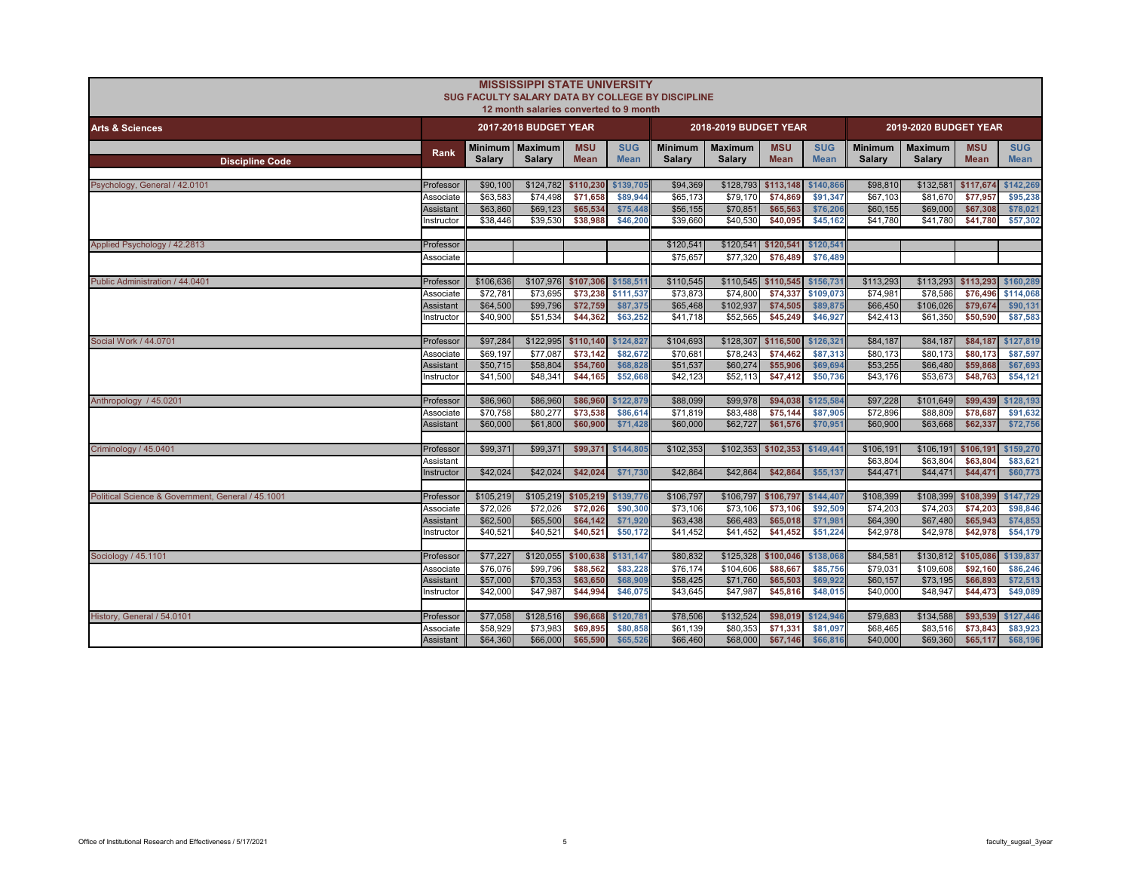|                                                   |                  |           | <b>MISSISSIPPI STATE UNIVERSITY</b><br>12 month salaries converted to 9 month |                           |                           | SUG FACULTY SALARY DATA BY COLLEGE BY DISCIPLINE |                          |                               |                           |                          |                          |                           |                           |
|---------------------------------------------------|------------------|-----------|-------------------------------------------------------------------------------|---------------------------|---------------------------|--------------------------------------------------|--------------------------|-------------------------------|---------------------------|--------------------------|--------------------------|---------------------------|---------------------------|
| <b>Arts &amp; Sciences</b>                        |                  |           | 2017-2018 BUDGET YEAR                                                         |                           |                           |                                                  | 2018-2019 BUDGET YEAR    |                               |                           |                          | 2019-2020 BUDGET YEAR    |                           |                           |
| <b>Discipline Code</b>                            | Rank             | Salary    | Minimum   Maximum<br>Salary                                                   | <b>MSU</b><br><b>Mean</b> | <b>SUG</b><br><b>Mean</b> | <b>Minimum</b><br>Salary                         | <b>Maximum</b><br>Salary | <b>MSU</b><br><b>Mean</b>     | <b>SUG</b><br><b>Mean</b> | <b>Minimum</b><br>Salary | <b>Maximum</b><br>Salary | <b>MSU</b><br><b>Mean</b> | <b>SUG</b><br><b>Mean</b> |
|                                                   |                  |           |                                                                               |                           |                           |                                                  |                          |                               |                           |                          |                          |                           |                           |
| Psychology, General / 42.0101                     | Professor        | \$90,100  | \$124,782 \$110,230                                                           |                           | \$139,705                 | \$94,369                                         | \$128,793                | \$113,148                     | \$140,866                 | \$98,810                 | \$132,581                | \$117,674                 | \$142,269                 |
|                                                   | Associate        | \$63,583  | \$74,498                                                                      | \$71,658                  | \$89,944                  | \$65,173                                         | \$79,170                 | \$74,869                      | \$91,347                  | \$67,103                 | \$81,670                 | \$77,957                  | \$95,238                  |
|                                                   | Assistant        | \$63,860  | \$69,123                                                                      | \$65,534                  | \$75,448                  | \$56,155                                         | \$70,851                 | \$65,563                      | \$76,206                  | \$60,155                 | \$69,000                 | \$67,308                  | \$78,021                  |
|                                                   | nstructor        | \$38,446  | \$39,530                                                                      | \$38,988                  | \$46,200                  | \$39,660                                         | \$40,530                 | \$40,095                      | \$45,162                  | \$41,780                 | \$41,780                 | \$41,780                  | \$57,302                  |
| Applied Psychology / 42.2813                      | Professor        |           |                                                                               |                           |                           | \$120,541                                        | \$120,541                | \$120,541                     | \$120,541                 |                          |                          |                           |                           |
|                                                   | Associate        |           |                                                                               |                           |                           | \$75,657                                         | \$77,320                 | \$76,489                      | \$76,489                  |                          |                          |                           |                           |
| Public Administration / 44.0401                   | Professor        | \$106,636 | \$107,976 \$107,306 \$158,511                                                 |                           |                           | \$110,545                                        |                          | \$110,545 \$110,545 \$156,731 |                           | \$113,293                |                          | \$113,293 \$113,293       | \$160,289                 |
|                                                   | Associate        | \$72,781  | \$73.695                                                                      | \$73,238                  | \$111.537                 | \$73,873                                         | \$74,800                 | \$74.337                      | \$109.073                 | \$74.981                 | \$78,586                 | \$76,496                  | \$114,068                 |
|                                                   | Assistant        | \$64,500  | \$99,796                                                                      | \$72,759                  | \$87,375                  | \$65,468                                         | \$102,937                | \$74,505                      | \$89,875                  | \$66,450                 | \$106,026                | \$79,674                  | \$90,131                  |
|                                                   | nstructor        | \$40,900  | \$51,534                                                                      | \$44,362                  | \$63,252                  | \$41,718                                         | \$52,565                 | \$45,249                      | \$46,927                  | \$42,413                 | \$61,350                 | \$50,590                  | \$87,583                  |
| Social Work / 44.0701                             | Professor        | \$97,284  | \$122,995                                                                     | \$110,140                 | \$124,827                 | \$104,693                                        | \$128,307                | \$116,500                     | \$126,321                 | \$84,187                 | \$84,187                 | \$84,187                  | \$127,819                 |
|                                                   | Associate        | \$69,197  | \$77,087                                                                      | \$73,142                  | \$82,672                  | \$70,681                                         | \$78,243                 | \$74,462                      | \$87,313                  | \$80,173                 | \$80,173                 | \$80,173                  | \$87,597                  |
|                                                   | Assistant        | \$50,715  | \$58,804                                                                      | \$54,760                  | \$68,828                  | \$51,537                                         | \$60,274                 | \$55,906                      | \$69,694                  | \$53,255                 | \$66,480                 | \$59,868                  | \$67,693                  |
|                                                   | nstructor        | \$41,500  | \$48,341                                                                      | \$44,165                  | \$52,668                  | \$42,123                                         | \$52,113                 | \$47,412                      | \$50,736                  | \$43,176                 | \$53,673                 | \$48,763                  | \$54,121                  |
| Anthropology / 45.0201                            | Professor        | \$86,960  | \$86,960                                                                      | \$86,960                  | \$122,879                 | \$88,099                                         | \$99,978                 | \$94,038                      | \$125,584                 | \$97,228                 | \$101,649                | \$99,439                  | \$128,193                 |
|                                                   | Associate        | \$70,758  | $\overline{$80,277}$                                                          | \$73,538                  | \$86,614                  | \$71,819                                         | \$83,488                 | \$75,144                      | \$87,905                  | \$72,896                 | \$88,809                 | \$78,687                  | \$91,632                  |
|                                                   | Assistant        | \$60,000  | \$61,800                                                                      | \$60,900                  | \$71,428                  | \$60,000                                         | \$62,727                 | \$61,576                      | \$70.95                   | \$60,900                 | \$63,668                 | \$62,337                  | \$72,756                  |
| Criminology / 45.0401                             | Professor        | \$99.371  | \$99,371                                                                      | \$99,371                  | \$144,805                 | \$102,353                                        | \$102,353                | \$102,353                     | \$149,441                 | \$106,191                | \$106,191                | \$106,191                 | \$159,270                 |
|                                                   | Assistant        |           |                                                                               |                           |                           |                                                  |                          |                               |                           | \$63,804                 | \$63,804                 | \$63,804                  | \$83,621                  |
|                                                   | nstructor        | \$42,024  | \$42,024                                                                      | \$42,024                  | \$71,730                  | \$42,864                                         | \$42,864                 | \$42,864                      | \$55,137                  | \$44,471                 | \$44,471                 | \$44,471                  | \$60,773                  |
| Political Science & Government, General / 45,1001 | Professor        | \$105,219 | \$105,219 \$105,219 \$139,776                                                 |                           |                           | \$106,797                                        |                          | \$106,797 \$106,797           | \$144,407                 | \$108,399                | \$108,399                | \$108,399                 | \$147,729                 |
|                                                   | Associate        | \$72.026  | \$72,026                                                                      | \$72,026                  | \$90,300                  | \$73,106                                         | \$73,106                 | \$73,106                      | \$92,509                  | \$74,203                 | \$74,203                 | \$74,203                  | \$98,846                  |
|                                                   | Assistant        | \$62,500  | \$65,500                                                                      | \$64,142                  | \$71,920                  | \$63,438                                         | \$66,483                 | \$65,018                      | \$71,98'                  | \$64,390                 | \$67,480                 | \$65,943                  | \$74,853                  |
|                                                   | nstructor        | \$40.521  | \$40,521                                                                      | \$40,521                  | \$50,172                  | \$41,452                                         | \$41,452                 | \$41,452                      | \$51,224                  | \$42,978                 | \$42,978                 | \$42,978                  | \$54,179                  |
| Sociology / 45.1101                               | Professor        | \$77,227  | $$120,055$ \$100,638                                                          |                           | \$131,147                 | \$80,832                                         |                          | \$125,328 \$100,046           | \$138,068                 | \$84,581                 | \$130,812 \$105,086      |                           | \$139,837                 |
|                                                   | Associate        | \$76,076  | \$99,796                                                                      | \$88,562                  | \$83,228                  | \$76,174                                         | \$104,606                | \$88,667                      | \$85,756                  | \$79,031                 | \$109,608                | \$92,160                  | \$86,246                  |
|                                                   | Assistant        | \$57,000  | \$70,353                                                                      | \$63,650                  | \$68,909                  | \$58,425                                         | \$71,760                 | \$65,503                      | \$69,922                  | \$60,157                 | \$73,195                 | \$66,893                  | \$72,513                  |
|                                                   | nstructor        | \$42,000  | \$47.987                                                                      | \$44,994                  | \$46,075                  | \$43.645                                         | \$47.987                 | \$45,816                      | \$48,015                  | \$40,000                 | \$48.947                 | \$44,473                  | \$49,089                  |
| History, General / 54.0101                        | Professor        | \$77,058  | \$128,516                                                                     | \$96,668                  | \$120,781                 | \$78,506                                         | \$132,524                | \$98,019                      | \$124,946                 | \$79,683                 | \$134,588                | \$93,539                  | \$127,446                 |
|                                                   | Associate        | \$58,929  | \$73,983                                                                      | \$69,895                  | \$80,858                  | \$61,139                                         | \$80,353                 | \$71.331                      | \$81,097                  | \$68,465                 | \$83,516                 | \$73,843                  | \$83,923                  |
|                                                   | <b>Assistant</b> | \$64,360  | \$66,000                                                                      | \$65,590                  | \$65,526                  | \$66,460                                         | \$68,000                 | \$67,146                      | \$66,816                  | \$40,000                 | \$69,360                 | \$65,117                  | \$68,196                  |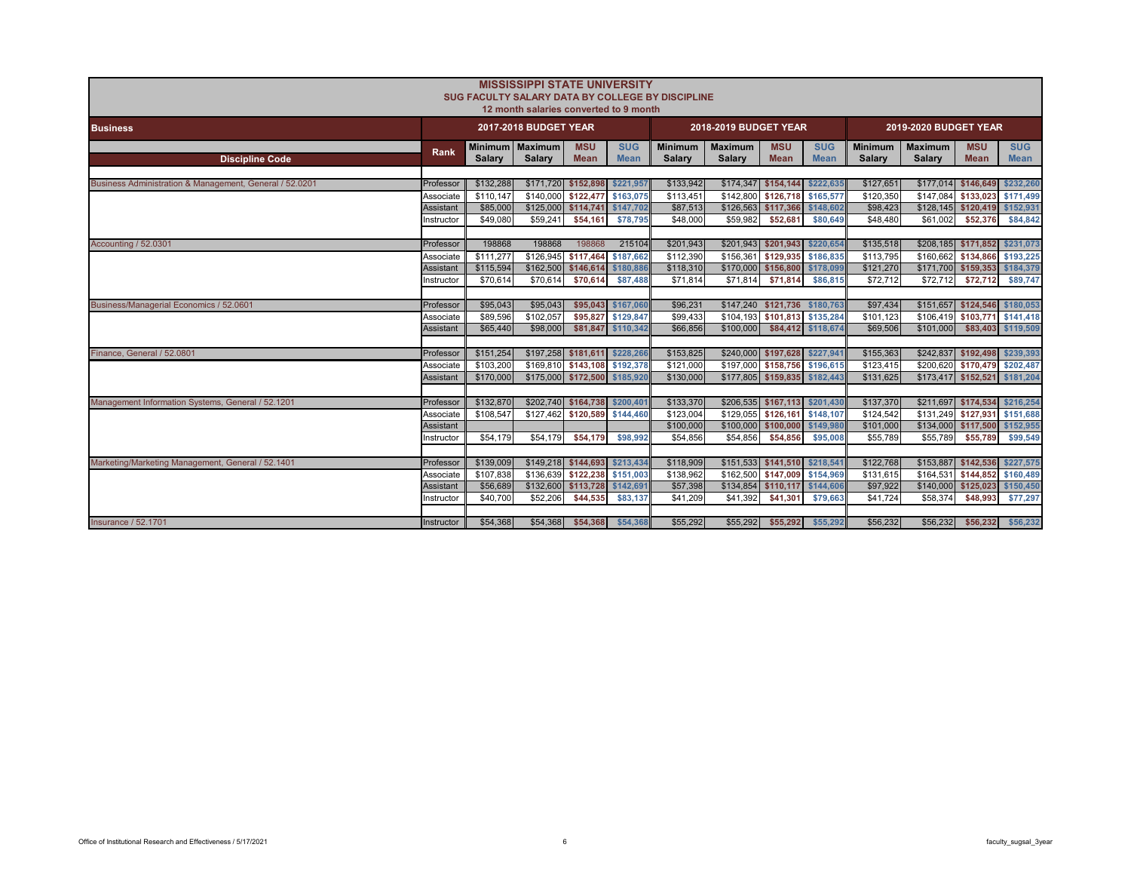|                                                         |                  |               | <b>MISSISSIPPI STATE UNIVERSITY</b><br>12 month salaries converted to 9 month |                               |                           | SUG FACULTY SALARY DATA BY COLLEGE BY DISCIPLINE |                                 |                               |                           |                          |                                 |                                 |                           |
|---------------------------------------------------------|------------------|---------------|-------------------------------------------------------------------------------|-------------------------------|---------------------------|--------------------------------------------------|---------------------------------|-------------------------------|---------------------------|--------------------------|---------------------------------|---------------------------------|---------------------------|
| <b>Business</b>                                         |                  |               | 2017-2018 BUDGET YEAR                                                         |                               |                           |                                                  | 2018-2019 BUDGET YEAR           |                               |                           |                          | 2019-2020 BUDGET YEAR           |                                 |                           |
| <b>Discipline Code</b>                                  | Rank             | <b>Salary</b> | Minimum   Maximum<br>Salary                                                   | <b>MSU</b><br><b>Mean</b>     | <b>SUG</b><br><b>Mean</b> | <b>Minimum</b><br><b>Salarv</b>                  | <b>Maximum</b><br><b>Salary</b> | <b>MSU</b><br><b>Mean</b>     | <b>SUG</b><br><b>Mean</b> | <b>Minimum</b><br>Salary | <b>Maximum</b><br><b>Salary</b> | <b>MSU</b><br><b>Mean</b>       | <b>SUG</b><br><b>Mean</b> |
|                                                         |                  |               |                                                                               |                               |                           |                                                  |                                 |                               |                           |                          |                                 |                                 |                           |
| Business Administration & Management, General / 52.0201 | Professor        | \$132,288     |                                                                               | \$171,720 \$152,898 \$221,957 |                           | \$133,942                                        |                                 | \$174,347 \$154,144           | \$222,635                 | \$127,651                |                                 | \$177,014 \$146,649             | \$232,260                 |
|                                                         | Associate        | \$110.147     | \$140,000                                                                     | \$122,477                     | \$163,075                 | \$113,451                                        | \$142,800                       | \$126,718 \$165,577           |                           | \$120,350                |                                 | \$147,084 \$133,023 \$171,499   |                           |
|                                                         | Assistant        | \$85,000      | \$125,000                                                                     | \$114,741                     | \$147,702                 | \$87,513                                         | \$126,563                       | \$117,366                     | \$148,602                 | \$98,423                 |                                 | \$128,145 \$120,419             | \$152,931                 |
|                                                         | Instructor       | \$49,080      | \$59,241                                                                      | \$54.161                      | \$78.795                  | \$48,000                                         | \$59,982                        | \$52,681                      | \$80,649                  | \$48,480                 | \$61,002                        | \$52,376                        | \$84,842                  |
|                                                         |                  |               |                                                                               |                               |                           |                                                  |                                 |                               |                           |                          |                                 |                                 |                           |
| Accounting / 52.0301                                    | Professor        | 198868        | 198868                                                                        | 198868                        | 215104                    | \$201,943                                        |                                 | \$201,943 \$201,943 \$220,654 |                           | \$135,518                |                                 | $$208,185$ $$171,852$           | \$231,073                 |
|                                                         | Associate        | \$111,277     | \$126,945                                                                     | \$117,464                     | \$187,662                 | \$112,390                                        | \$156,361                       | \$129,935 \$186,835           |                           | \$113,795                |                                 | \$160,662 \$134,866 \$193,225   |                           |
|                                                         | Assistant        | \$115,594     | \$162,500                                                                     | \$146,614                     | \$180,886                 | \$118,310                                        | \$170,000                       | \$156,800                     | \$178,099                 | \$121,270                |                                 | \$171,700 \$159,353             | \$184,379                 |
|                                                         | nstructor        | \$70.614      | \$70,614                                                                      | \$70,614                      | \$87,488                  | \$71,814                                         | \$71,814                        | \$71,814                      | \$86,815                  | \$72.712                 | \$72,712                        | \$72,712                        | \$89,747                  |
|                                                         |                  |               |                                                                               |                               |                           |                                                  |                                 |                               |                           |                          |                                 |                                 |                           |
| Business/Managerial Economics / 52.0601                 | Professor        | \$95,043      | \$95,043                                                                      |                               | \$95,043 \$167,060        | \$96,231                                         |                                 | \$147,240 \$121,736 \$180,763 |                           | \$97,434                 |                                 | \$151,657 \$124,546 \$180,053   |                           |
|                                                         | Associate        | \$89,596      | \$102.057                                                                     | \$95,827                      | \$129,847                 | \$99,433                                         | \$104.193                       | \$101.813 \$135.284           |                           | \$101.123                |                                 | \$106.419 \$103.771             | \$141.418                 |
|                                                         | Assistant        | \$65,440      | \$98,000                                                                      | \$81,847                      | \$110,342                 | \$66,856                                         | \$100,000                       |                               | \$84,412 \$118,674        | \$69,506                 | \$101,000                       | \$83,403                        | \$119,509                 |
|                                                         |                  |               |                                                                               |                               |                           |                                                  |                                 |                               |                           |                          |                                 |                                 |                           |
| Finance, General / 52,0801                              | Professor        | \$151,254     |                                                                               | \$197,258 \$181,611 \$228,266 |                           | \$153,825                                        |                                 | \$240,000 \$197,628 \$227,941 |                           | \$155,363                |                                 | \$242,837 \$192,498             | \$239,393                 |
|                                                         | Associate        | \$103,200     |                                                                               | \$169,810 \$143,108 \$192,378 |                           | \$121,000                                        |                                 | \$197,000 \$158,756 \$196,615 |                           | \$123,415                |                                 | \$200,620 \$170,479             | \$202,487                 |
|                                                         | Assistant        | \$170,000     |                                                                               | \$175,000 \$172,500 \$185,920 |                           | \$130,000                                        |                                 | \$177,805 \$159,835 \$182,443 |                           | \$131,625                |                                 | \$173,417 \$152,521             | \$181,204                 |
|                                                         |                  |               |                                                                               |                               |                           |                                                  |                                 |                               |                           |                          |                                 |                                 |                           |
| Management Information Systems, General / 52.1201       | Professor        | \$132,870     |                                                                               | \$202,740 \$164,738 \$200,401 |                           | \$133,370                                        |                                 | \$206,535 \$167,113 \$201,430 |                           | \$137,370                |                                 | \$211,697 \$174,534             | \$216,254                 |
|                                                         | Associate        | \$108,547     |                                                                               | \$127,462 \$120,589 \$144,460 |                           | \$123,004                                        | \$129,055                       | \$126,161 \$148,107           |                           | \$124,542                |                                 | \$131,249 \$127,931 \$151,688   |                           |
|                                                         | <b>Assistant</b> | \$54,179      | \$54,179                                                                      | \$54,179                      | \$98.992                  | \$100,000<br>\$54,856                            | \$100,000<br>\$54,856           | \$100,000<br>\$54,856         | \$149,980<br>\$95,008     | \$101,000<br>\$55,789    | \$55,789                        | \$134,000 \$117,500<br>\$55,789 | \$152,955<br>\$99,549     |
|                                                         | nstructor        |               |                                                                               |                               |                           |                                                  |                                 |                               |                           |                          |                                 |                                 |                           |
| Marketing/Marketing Management, General / 52.1401       | Professor        | \$139,009     |                                                                               | \$149,218 \$144,693 \$213,434 |                           | \$118,909                                        |                                 | \$151,533 \$141,510 \$218,541 |                           | \$122,768                | \$153,887                       | \$142,536                       | \$227,575                 |
|                                                         | Associate        | \$107,838     | \$136,639                                                                     | \$122,238                     | \$151,003                 | \$138,962                                        | \$162,500                       | \$147,009 \$154,969           |                           | \$131,615                |                                 | \$164,531 \$144,852 \$160,489   |                           |
|                                                         | Assistant        | \$56,689      |                                                                               | \$132,600 \$113,728 \$142,691 |                           | \$57,398                                         | \$134,854                       | \$110,117 \$144,606           |                           | \$97,922                 |                                 | $$140,000$ \$125,023            | \$150,450                 |
|                                                         | nstructor        | \$40,700      | \$52,206                                                                      | \$44,535                      | \$83,137                  | \$41,209                                         | \$41,392                        | \$41,301                      | \$79,663                  | \$41,724                 | \$58,374                        | \$48,993                        | \$77,297                  |
|                                                         |                  |               |                                                                               |                               |                           |                                                  |                                 |                               |                           |                          |                                 |                                 |                           |
| <b>Insurance / 52,1701</b>                              | Instructor       | \$54,368      | \$54,368                                                                      | \$54,368                      | \$54,368                  | \$55,292                                         | \$55.292                        | \$55,292                      | \$55,292                  | \$56,232                 | \$56,232                        | \$56.232                        | \$56,232                  |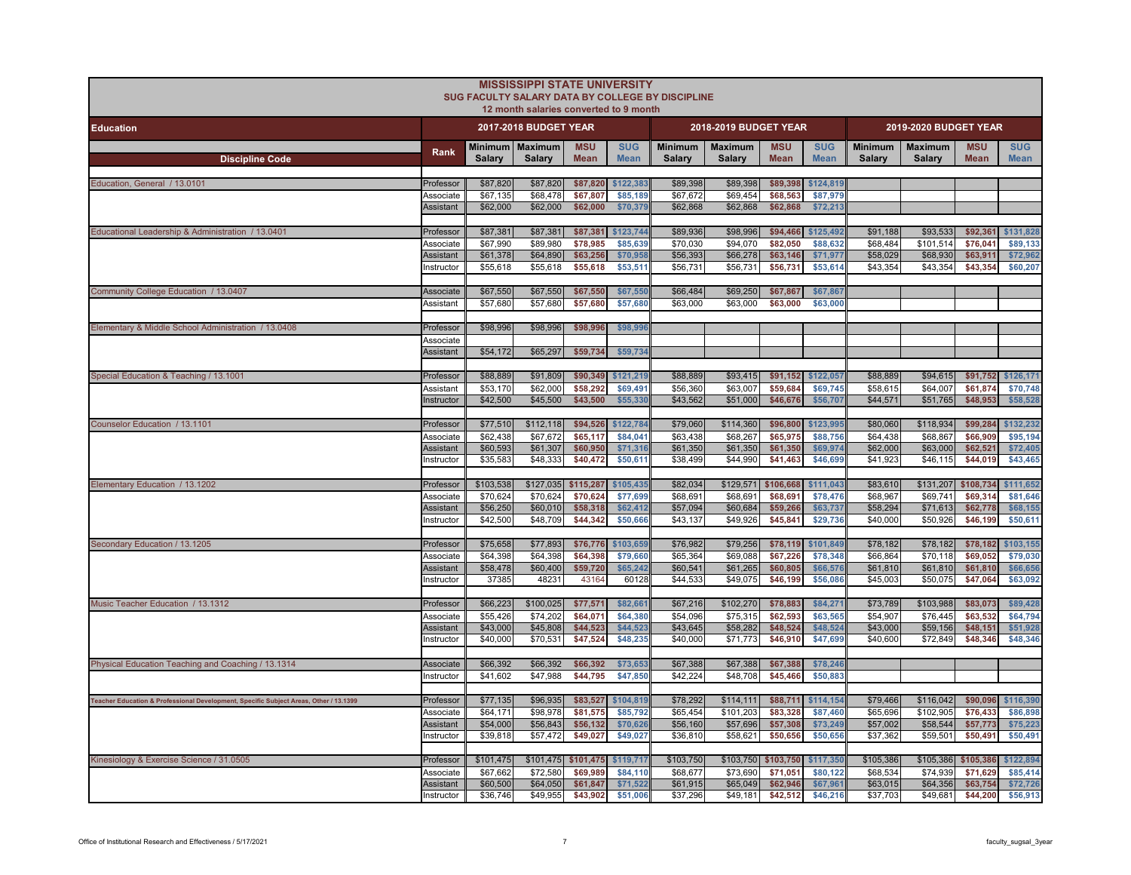|                                                                                       |                               |                      | <b>MISSISSIPPI STATE UNIVERSITY</b><br>12 month salaries converted to 9 month | <b>SUG FACULTY SALARY DATA BY COLLEGE BY DISCIPLINE</b> |                           |                          |                                 |                           |                           |                          |                          |                           |                           |
|---------------------------------------------------------------------------------------|-------------------------------|----------------------|-------------------------------------------------------------------------------|---------------------------------------------------------|---------------------------|--------------------------|---------------------------------|---------------------------|---------------------------|--------------------------|--------------------------|---------------------------|---------------------------|
| <b>Education</b>                                                                      |                               |                      | 2017-2018 BUDGET YEAR                                                         |                                                         |                           |                          | 2018-2019 BUDGET YEAR           |                           |                           |                          | 2019-2020 BUDGET YEAR    |                           |                           |
| <b>Discipline Code</b>                                                                | Rank                          | <b>Salary</b>        | Minimum   Maximum<br><b>Salary</b>                                            | <b>MSU</b><br><b>Mean</b>                               | <b>SUG</b><br><b>Mean</b> | <b>Minimum</b><br>Salary | <b>Maximum</b><br><b>Salary</b> | <b>MSU</b><br><b>Mean</b> | <b>SUG</b><br><b>Mean</b> | <b>Minimum</b><br>Salary | <b>Maximum</b><br>Salary | <b>MSU</b><br><b>Mean</b> | <b>SUG</b><br><b>Mean</b> |
| Education, General / 13.0101                                                          | Professor                     | \$87,820             | \$87,820                                                                      | \$87,820                                                | \$122,383                 | \$89,398                 | \$89,398                        | \$89,398                  | \$124,819                 |                          |                          |                           |                           |
|                                                                                       | Associate<br>Assistant        | \$67,135<br>\$62,000 | \$68,478<br>\$62,000                                                          | \$67,807<br>\$62,000                                    | \$85,189<br>\$70,379      | \$67,672<br>\$62,868     | \$69,454<br>\$62,868            | \$68,563<br>\$62,868      | \$87,979<br>\$72,213      |                          |                          |                           |                           |
| Educational Leadership & Administration / 13.0401                                     | Professor                     | \$87,381             | \$87,381                                                                      |                                                         | \$87,381 \$123,744        | \$89,936                 | \$98,996                        | \$94,466                  | \$125,492                 | \$91,188                 | \$93,533                 | \$92,361                  | \$131,828                 |
|                                                                                       | Associate<br>Assistant        | \$67,990<br>\$61,378 | \$89,980<br>\$64,890                                                          | \$78,985<br>\$63,256                                    | \$85,639<br>\$70,95       | \$70,030<br>\$56,393     | \$94,070<br>\$66,278            | \$82,050<br>\$63,146      | \$88,632<br>\$71,977      | \$68,484<br>\$58,029     | \$101,514<br>\$68,930    | \$76,041<br>\$63,911      | \$89,133<br>\$72,962      |
|                                                                                       | nstructor                     | \$55,618             | \$55,618                                                                      | \$55,618                                                | \$53,511                  | \$56,731                 | \$56,731                        | \$56,731                  | \$53,614                  | \$43,354                 | \$43,354                 | \$43,354                  | \$60,207                  |
| Community College Education / 13.0407                                                 | Associate<br>Assistant        | \$67,550<br>\$57,680 | \$67,550<br>\$57,680                                                          | \$67,550<br>\$57,680                                    | \$67,550<br>\$57,680      | \$66,484<br>\$63,000     | \$69,250<br>\$63,000            | \$67,867<br>\$63,000      | \$67,867<br>\$63,000      |                          |                          |                           |                           |
|                                                                                       |                               |                      |                                                                               |                                                         |                           |                          |                                 |                           |                           |                          |                          |                           |                           |
| Elementary & Middle School Administration / 13.0408                                   | Professor<br>Associate        | \$98,996             | \$98,996                                                                      | \$98,996                                                | \$98,99                   |                          |                                 |                           |                           |                          |                          |                           |                           |
|                                                                                       | Assistant                     | \$54,172             | \$65,297                                                                      | \$59,734                                                | \$59,734                  |                          |                                 |                           |                           |                          |                          |                           |                           |
| Special Education & Teaching / 13.1001                                                | Professor                     | \$88,889             | \$91,809                                                                      | \$90,349                                                | \$121,219                 | \$88,889                 | \$93,415                        |                           | \$91,152 \$122,057        | \$88,889                 | \$94,615                 | \$91,752                  | \$126,171                 |
|                                                                                       | Assistant<br>Instructor       | \$53,170<br>\$42,500 | \$62,000<br>\$45,500                                                          | \$58,292<br>\$43,500                                    | \$69,491<br>\$55,330      | \$56,360<br>\$43,562     | \$63,007<br>\$51,000            | \$59,684<br>\$46,676      | \$69,745<br>\$56,707      | \$58,615<br>\$44,571     | \$64,007<br>\$51,765     | \$61,874<br>\$48,953      | \$70,748<br>\$58,528      |
| Counselor Education / 13.1101                                                         | Professor                     | \$77,510             | \$112,118                                                                     | \$94,526                                                | \$122,784                 | \$79,060                 | \$114,360                       | \$96,800                  | \$123,995                 | \$80,060                 | \$118,934                | \$99,284                  | \$132,232                 |
|                                                                                       | Associate                     | \$62,438             | \$67,672                                                                      | \$65,117                                                | \$84,041                  | \$63,438                 | \$68,267                        | \$65,975                  | \$88,756                  | \$64,438                 | \$68,867                 | \$66,909                  | \$95,194                  |
|                                                                                       | Assistant<br>Instructor       | \$60,593<br>\$35,583 | \$61,307<br>$\overline{$}48,333$                                              | \$60,950<br>\$40,472                                    | \$71,316<br>\$50,611      | \$61,350<br>\$38,499     | \$61,350<br>\$44,990            | \$61,350<br>\$41,463      | \$69,974<br>\$46,699      | \$62,000<br>\$41,923     | \$63,000<br>\$46,115     | \$62,521<br>\$44,019      | \$72,405<br>\$43,465      |
| Elementary Education / 13.1202                                                        | Professor                     | \$103,538            | \$127,035                                                                     | \$115,287                                               | \$105,435                 | \$82,034                 | \$129,571                       | \$106,668                 | \$111,043                 | \$83,610                 | \$131,207                | \$108,734                 | \$111,652                 |
|                                                                                       | Associate                     | \$70,624             | \$70,624                                                                      | \$70,624                                                | \$77,699                  | \$68,691                 | \$68,691                        | \$68,691                  | \$78,476                  | \$68,967                 | \$69,741                 | \$69,314                  | \$81,646                  |
|                                                                                       | <b>Assistant</b><br>nstructor | \$56,250<br>\$42,500 | \$60,010<br>\$48,709                                                          | \$58,318<br>\$44,342                                    | \$62,412<br>\$50,666      | \$57,094<br>\$43,137     | \$60,684<br>\$49,926            | \$59,266<br>\$45,841      | \$63,737<br>\$29,736      | \$58,294<br>\$40,000     | \$71,613<br>\$50,926     | \$62,778<br>\$46,199      | \$68,155<br>\$50,611      |
|                                                                                       |                               |                      |                                                                               |                                                         |                           |                          |                                 |                           |                           |                          |                          |                           |                           |
| Secondary Education / 13.1205                                                         | Professor                     | \$75,658             | \$77,893                                                                      | \$76,776                                                | \$103,659                 | \$76,982                 | \$79,256                        | \$78,119                  | \$101,849                 | \$78,182                 | \$78,182                 | \$78,182                  | \$103,155                 |
|                                                                                       | Associate<br>Assistant        | \$64,398<br>\$58,478 | \$64,398<br>\$60,400                                                          | \$64,398<br>\$59,720                                    | \$79,660<br>\$65,242      | \$65,364<br>\$60,541     | \$69,088<br>\$61,265            | \$67,226<br>\$60,805      | \$78,348<br>\$66,576      | \$66,864<br>\$61,810     | \$70,118<br>\$61,810     | \$69,052<br>\$61,810      | \$79,030<br>\$66,656      |
|                                                                                       | Instructor                    | 37385                | 48231                                                                         | 43164                                                   | 60128                     | \$44,533                 | \$49,075                        | \$46,199                  | \$56,086                  | \$45,003                 | \$50,075                 | \$47,064                  | \$63,092                  |
| Music Teacher Education / 13.1312                                                     | Professor                     | \$66,223             | \$100,025                                                                     | \$77,571                                                | \$82,66                   | \$67,216                 | \$102,270                       | \$78,883                  | \$84,271                  | \$73,789                 | \$103,988                | \$83,073                  | \$89,428                  |
|                                                                                       | Associate                     | \$55,426             | \$74,202                                                                      | \$64,071                                                | \$64,380                  | \$54,096                 | \$75,315                        | \$62,593                  | \$63,565                  | \$54,907                 | \$76,445                 | \$63,532                  | \$64,794                  |
|                                                                                       | Assistant<br>Instructor       | \$43,000<br>\$40,000 | \$45,808<br>\$70,531                                                          | \$44,523<br>\$47,524                                    | \$44.52<br>\$48,235       | \$43,645<br>\$40,000     | \$58,282<br>\$71,773            | \$48,524<br>\$46,910      | \$48,52<br>\$47,699       | \$43,000<br>\$40,600     | \$59,156<br>\$72,849     | \$48,151<br>\$48,346      | \$51,928<br>\$48,346      |
| Physical Education Teaching and Coaching / 13.1314                                    | Associate                     | \$66,392             | \$66,392                                                                      | \$66,392                                                | \$73,653                  | \$67,388                 | \$67,388                        | \$67,388                  | \$78,246                  |                          |                          |                           |                           |
|                                                                                       | Instructor                    | \$41,602             | \$47,988                                                                      | \$44,795                                                | \$47,850                  | \$42,224                 | \$48,708                        | \$45,466                  | \$50,883                  |                          |                          |                           |                           |
| Teacher Education & Professional Development, Specific Subject Areas, Other / 13.1399 | Professor                     | \$77,135             | \$96,935                                                                      | \$83,527                                                | \$104,819                 | \$78,292                 | \$114,111                       | \$88,711                  | \$114,154                 | \$79,466                 | \$116,042                | \$90,096                  | \$116,390                 |
|                                                                                       | Associate<br>Assistant        | \$64,171<br>\$54,000 | \$98,978<br>\$56,843                                                          | \$81,575<br>\$56,132                                    | \$85,792<br>\$70,62       | \$65,454<br>\$56,160     | \$101,203<br>\$57,696           | \$83,328<br>\$57,308      | \$87,460<br>\$73,249      | \$65,696<br>\$57,002     | \$102,905<br>\$58,544    | \$76,433<br>\$57,773      | \$86,898<br>\$75,223      |
|                                                                                       | Instructor                    | \$39,818             | \$57,472                                                                      | \$49,027                                                | \$49,027                  | \$36,810                 | \$58,621                        | \$50,656                  | \$50,656                  | \$37,362                 | \$59,501                 | \$50,491                  | \$50,491                  |
| Kinesiology & Exercise Science / 31.0505                                              | Professor                     | \$101,475            | \$101,475                                                                     | \$101,475                                               | \$119,717                 | \$103,750                | \$103,750                       | \$103,750                 | \$117,350                 | \$105,386                | \$105,386                | \$105,386                 | \$122,894                 |
|                                                                                       | Associate                     | \$67,662             | \$72,580                                                                      | \$69,989                                                | \$84,110                  | \$68,677                 | \$73,690                        | \$71,051                  | \$80,122                  | \$68,534                 | \$74,939                 | \$71,629                  | \$85,414                  |
|                                                                                       | Assistant<br>Instructor       | \$60,500<br>\$36,746 | \$64,050<br>\$49,955                                                          | \$61,847<br>\$43,902                                    | \$71,522<br>\$51,006      | \$61,915<br>\$37,296     | \$65,049<br>\$49,181            | \$62,946<br>\$42,512      | \$67,961<br>\$46,216      | \$63,015<br>\$37,703     | \$64,356<br>\$49,681     | \$63,754<br>\$44,200      | \$72,726<br>\$56,913      |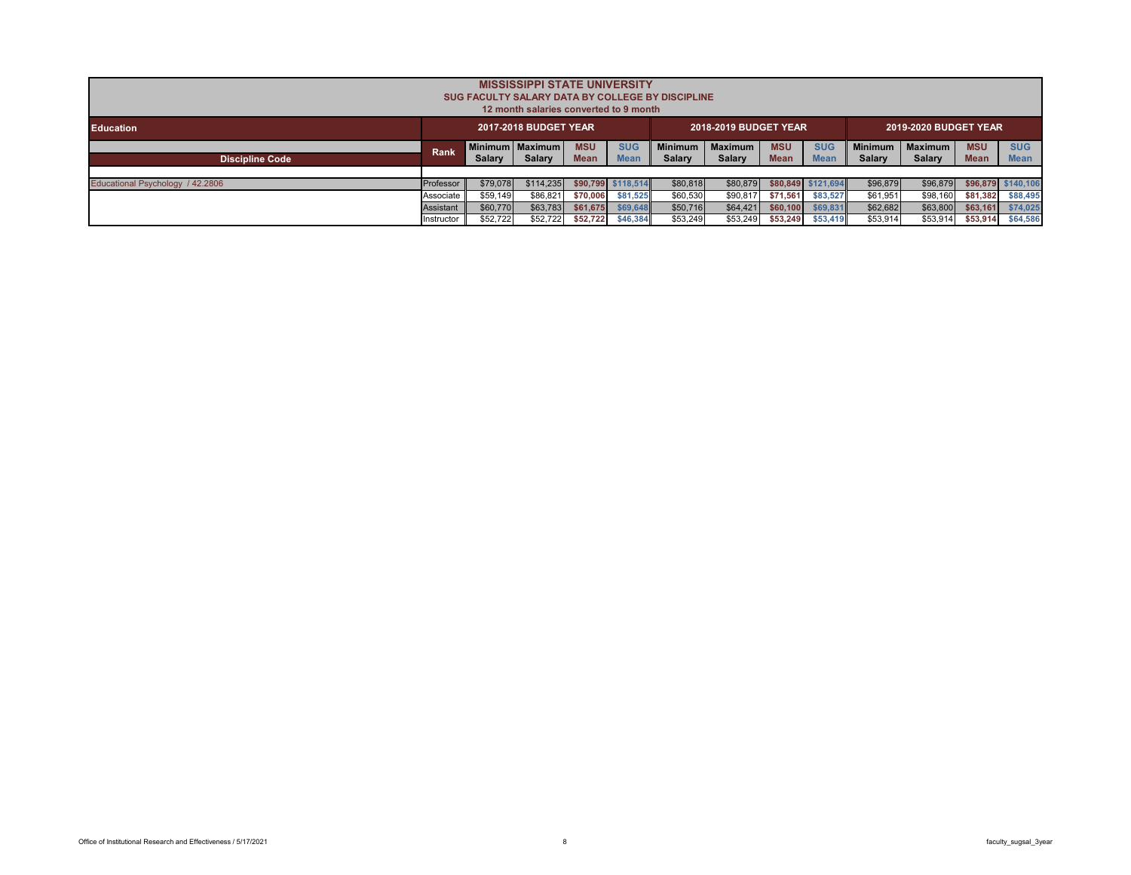|                                  | <b>MISSISSIPPI STATE UNIVERSITY</b><br>SUG FACULTY SALARY DATA BY COLLEGE BY DISCIPLINE<br>12 month salaries converted to 9 month |               |                   |             |                    |                |                |             |                    |                |                |             |                    |  |
|----------------------------------|-----------------------------------------------------------------------------------------------------------------------------------|---------------|-------------------|-------------|--------------------|----------------|----------------|-------------|--------------------|----------------|----------------|-------------|--------------------|--|
| <b>Education</b>                 | <b>2017-2018 BUDGET YEAR</b><br>2018-2019 BUDGET YEAR<br><b>2019-2020 BUDGET YEAR</b>                                             |               |                   |             |                    |                |                |             |                    |                |                |             |                    |  |
|                                  |                                                                                                                                   |               | Minimum   Maximum | <b>MSU</b>  | <b>SUG</b>         | <b>Minimum</b> | <b>Maximum</b> | <b>MSU</b>  | <b>SUG</b>         | <b>Minimum</b> | <b>Maximum</b> | <b>MSU</b>  | <b>SUG</b>         |  |
| <b>Discipline Code</b>           | <b>Rank</b>                                                                                                                       | <b>Salary</b> | Salary            | <b>Mean</b> | <b>Mean</b>        | <b>Salary</b>  | Salary         | <b>Mean</b> | <b>Mean</b>        | Salary         | Salary         | <b>Mean</b> | <b>Mean</b>        |  |
|                                  |                                                                                                                                   |               |                   |             |                    |                |                |             |                    |                |                |             |                    |  |
| Educational Psychology / 42.2806 | Professor                                                                                                                         | \$79,078      | \$114.235         |             | \$90,799 \$118,514 | \$80,818       | \$80,879       |             | \$80.849 \$121.694 | \$96,879       | \$96,879       |             | \$96,879 \$140,106 |  |
|                                  | Associate                                                                                                                         | \$59,149      | \$86,821          | \$70,006    | \$81.525           | \$60,530       | \$90,817       | \$71.561    | \$83,527           | \$61,951       | \$98,160       | \$81,382    | \$88,495           |  |
|                                  | Assistant                                                                                                                         | \$60,770      | \$63,783          | \$61,675    | \$69,648           | \$50,716       | \$64.421       | \$60,100    | \$69,831           | \$62,682       | \$63,800       | \$63,161    | \$74,025           |  |
|                                  | Instructor                                                                                                                        | \$52.722      | \$52,722          | \$52.722    | \$46,384           | \$53.249       | \$53,249       | \$53,249    | \$53,419           | \$53,914       | \$53.914       | \$53.914    | \$64,586           |  |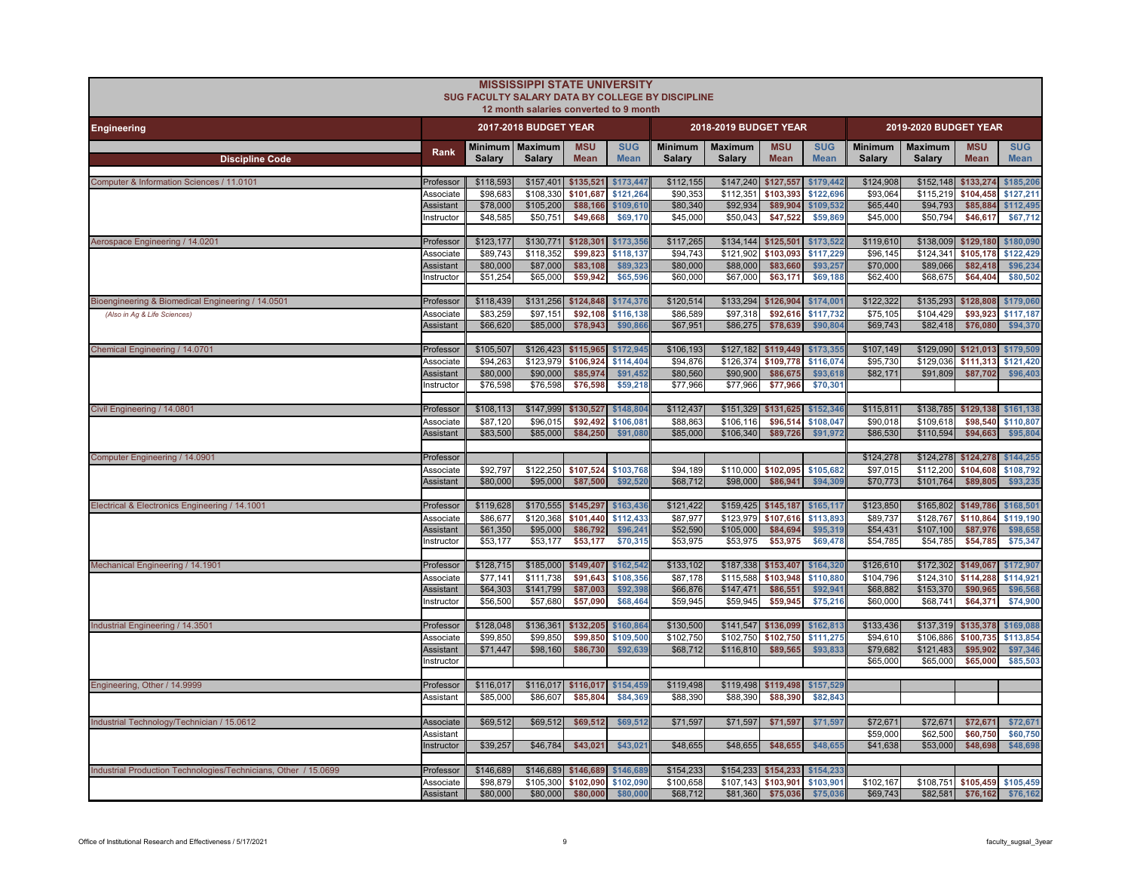|                                                                 |                               |                       | <b>MISSISSIPPI STATE UNIVERSITY</b><br>12 month salaries converted to 9 month | SUG FACULTY SALARY DATA BY COLLEGE BY DISCIPLINE |                           |                          |                          |                                                    |                           |                          |                          |                                                             |                           |
|-----------------------------------------------------------------|-------------------------------|-----------------------|-------------------------------------------------------------------------------|--------------------------------------------------|---------------------------|--------------------------|--------------------------|----------------------------------------------------|---------------------------|--------------------------|--------------------------|-------------------------------------------------------------|---------------------------|
| <b>Engineering</b>                                              |                               |                       | <b>2017-2018 BUDGET YEAR</b>                                                  |                                                  |                           |                          | 2018-2019 BUDGET YEAR    |                                                    |                           |                          | 2019-2020 BUDGET YEAR    |                                                             |                           |
| <b>Discipline Code</b>                                          | Rank                          | Salary                | Minimum   Maximum<br><b>Salary</b>                                            | <b>MSU</b><br><b>Mean</b>                        | <b>SUG</b><br><b>Mean</b> | <b>Minimum</b><br>Salary | <b>Maximum</b><br>Salary | <b>MSU</b><br><b>Mean</b>                          | <b>SUG</b><br><b>Mean</b> | <b>Minimum</b><br>Salary | <b>Maximum</b><br>Salary | <b>MSU</b><br><b>Mean</b>                                   | <b>SUG</b><br><b>Mean</b> |
| Computer & Information Sciences / 11.0101                       | Professor                     | \$118,593             | \$157,401                                                                     | \$135,521                                        | \$173,447                 | \$112,155                |                          | \$147,240 \$127,557 \$179,442                      |                           | \$124,908                |                          | \$152,148 \$133,274                                         | \$185,206                 |
|                                                                 | Associate<br>Assistant        | \$98,683<br>\$78,000  | \$108,330<br>\$105,200                                                        | \$101.687<br>\$88,166                            | \$121.264<br>\$109,610    | \$90.353<br>\$80,340     | \$112.351<br>\$92,934    | \$103,393<br>\$89,904                              | \$122,696<br>\$109,532    | \$93,064<br>\$65,440     | \$94,793                 | \$115,219 \$104,458<br>\$85,884                             | \$127,211<br>\$112,495    |
|                                                                 | nstructor                     | \$48,585              | \$50,751                                                                      | \$49,668                                         | \$69,170                  | \$45,000                 | \$50,043                 | \$47,522                                           | \$59,869                  | \$45,000                 | \$50,794                 | \$46,617                                                    | \$67,712                  |
| Aerospace Engineering / 14.0201                                 | Professor<br>Associate        | \$123,177<br>\$89,743 | \$130,771<br>\$118,352                                                        | \$128,301<br>\$99,823                            | \$173,356<br>\$118.137    | \$117,265<br>\$94,743    | \$121.902                | $$134,144$ $$125,501$<br>\$103,093                 | \$173,522<br>\$117,229    | \$119,610<br>\$96,145    | \$124.341                | \$138,009 \$129,180<br>\$105.178                            | \$180,090<br>\$122.429    |
|                                                                 | Assistant<br>nstructor        | \$80,000<br>\$51,254  | \$87,000<br>\$65,000                                                          | \$83,108<br>\$59,942                             | \$89,323<br>\$65,596      | \$80,000<br>\$60,000     | \$88,000<br>\$67,000     | \$83,660<br>\$63,171                               | \$93,257<br>\$69,188      | \$70,000<br>\$62,400     | \$89,066<br>\$68,675     | \$82,418<br>\$64,404                                        | \$96,234<br>\$80,502      |
| Bioengineering & Biomedical Engineering / 14.0501               | Professor                     | \$118,439             |                                                                               | \$131,256 \$124,848                              | \$174,376                 | \$120,514                |                          | \$133,294 \$126,904 \$174,00                       |                           | \$122,322                |                          | \$135,293 \$128,808                                         | \$179,060                 |
| (Also in Ag & Life Sciences)                                    | Associate                     | \$83,259              | \$97,151                                                                      | \$92,108                                         | \$116,138                 | \$86,589                 | \$97,318                 | \$92,616                                           | \$117,732                 | \$75,105                 | \$104,429                | \$93,923                                                    | \$117,187                 |
|                                                                 | Assistant                     | \$66,620              | \$85,000                                                                      | \$78,943                                         | \$90,86                   | \$67,951                 | \$86,275                 | \$78,639                                           | \$90,804                  | \$69,743                 | \$82,418                 | \$76,080                                                    | \$94,370                  |
| Chemical Engineering / 14.0701                                  | Professor<br>Associate        | \$105,507<br>\$94,263 | \$123,979                                                                     | \$126,423 \$115,965<br>\$106,924                 | \$172,945<br>\$114,404    | \$106,193<br>\$94,876    | \$126,374                | \$127,182 \$119,449 \$173,355<br>\$109,778         | \$116,074                 | \$107,149<br>\$95,730    |                          | \$129,090 \$121,013<br>\$129,036 \$111,313                  | \$179,509<br>\$121,420    |
|                                                                 | Assistant                     | \$80,000              | \$90,000                                                                      | \$85,974                                         | \$91,452                  | \$80,560                 | \$90,900                 | \$86,675                                           | \$93,61                   | \$82,171                 | \$91,809                 | \$87,702                                                    | \$96,403                  |
|                                                                 | nstructor                     | \$76,598              | \$76,598                                                                      | \$76,598                                         | \$59,218                  | \$77,966                 | \$77,966                 | \$77,966                                           | \$70,301                  |                          |                          |                                                             |                           |
| Civil Engineering / 14.0801                                     | Professor<br>Associate        | \$108,113<br>\$87,120 | \$147,999<br>\$96,015                                                         | \$130,527<br>\$92.492                            | \$148,804<br>\$106.081    | \$112,437<br>\$88,863    | \$106.116                | \$151,329 \$131,625<br>\$96,514                    | \$152,346<br>\$108.047    | \$115,811<br>\$90,018    | \$109,618                | \$138,785 \$129,138<br>\$98,540                             | \$161,138<br>\$110,807    |
|                                                                 | <b>Assistant</b>              | \$83,500              | \$85,000                                                                      | \$84,250                                         | \$91,080                  | \$85,000                 | \$106,340                | \$89,726                                           | \$91,972                  | \$86,530                 | \$110,594                | \$94,663                                                    | \$95,804                  |
| Computer Engineering / 14.0901                                  | Professor                     |                       |                                                                               |                                                  |                           |                          |                          |                                                    |                           | \$124,278                |                          | \$124,278 \$124,278                                         | \$144,255                 |
|                                                                 | Associate<br><b>Assistant</b> | \$92,797<br>\$80,000  | \$122,250<br>\$95,000                                                         | \$107,524<br>\$87,500                            | \$103,768<br>\$92,520     | \$94,189<br>\$68,712     | \$110,000<br>\$98,000    | \$102,095<br>\$86,941                              | \$105,682<br>\$94,309     | \$97,015<br>\$70,773     | \$112,200<br>\$101,764   | \$104,608<br>\$89,805                                       | \$108,792<br>\$93,235     |
| Electrical & Electronics Engineering / 14.1001                  | Professor                     | \$119,628             | \$170,555                                                                     | \$145,297                                        | \$163,436                 | \$121,422                | \$159,425                | \$145,187                                          | \$165,117                 | \$123,850                |                          | \$165,802 \$149,786                                         | \$168,501                 |
|                                                                 | Associate<br><b>Assistant</b> | \$86,677<br>\$61,350  | \$120,368<br>\$95,000                                                         | \$101,440<br>\$86,792                            | \$112,433<br>\$96,241     | \$87,977<br>\$52,590     | \$123,979<br>\$105,000   | \$107,616<br>\$84,694                              | \$113,89<br>\$95,319      | \$89,737<br>\$54,431     | \$107,100                | \$128,767 \$110,864<br>\$87,976                             | \$119,190<br>\$98,658     |
|                                                                 | Instructor                    | \$53,177              | \$53,177                                                                      | \$53,177                                         | \$70,315                  | \$53,975                 | \$53,975                 | \$53,975                                           | \$69,478                  | \$54,785                 | \$54,785                 | \$54,785                                                    | \$75,347                  |
| Mechanical Engineering / 14.1901                                | Professor                     | \$128,715             | \$185,000                                                                     | \$149,407                                        | \$162,542                 | \$133,102                | \$187,338                | \$153,407                                          | \$164,320                 | \$126,610                |                          | \$172,302 \$149,067                                         | \$172,907                 |
|                                                                 | Associate<br><b>Assistant</b> | \$77.141<br>\$64,303  | \$111.738<br>\$141,799                                                        | \$91.643<br>\$87,003                             | \$108,356<br>\$92,398     | \$87,178<br>\$66,876     | \$115,588<br>\$147,471   | \$103.948<br>\$86,551                              | \$110,880<br>\$92,941     | \$104,796<br>\$68,882    | \$153,370                | \$124,310 \$114,288<br>\$90,965                             | \$114,921<br>\$96,568     |
|                                                                 | Instructor                    | \$56,500              | \$57,680                                                                      | \$57,090                                         | \$68,464                  | \$59,945                 | \$59,945                 | \$59,945                                           | \$75,216                  | \$60,000                 | \$68,741                 | \$64,371                                                    | \$74,900                  |
| Industrial Engineering / 14.3501                                | Professor                     | \$128,048             | \$136,361                                                                     | \$132,205                                        | \$160,864                 | \$130,500                | \$141,547                | \$136,099                                          | \$162,813                 | \$133,436                |                          | \$137,319 \$135,378                                         | \$169,088                 |
|                                                                 | Associate<br>Assistant        | \$99,850<br>\$71,447  | \$99,850<br>\$98,160                                                          | \$99,850<br>\$86,730                             | \$109,500<br>\$92,639     | \$102,750<br>\$68,712    | \$102,750<br>\$116,810   | \$102,750<br>\$89,565                              | \$111,275<br>\$93,833     | \$94,610<br>\$79,682     | \$106,886<br>\$121,483   | \$100,735<br>\$95,902                                       | \$113,854<br>\$97,346     |
|                                                                 | nstructor                     |                       |                                                                               |                                                  |                           |                          |                          |                                                    |                           | \$65,000                 | \$65,000                 | \$65,000                                                    | \$85,503                  |
| Engineering, Other / 14.9999                                    | Professor                     | \$116,017             |                                                                               | \$116,017 \$116,017 \$154,459                    |                           | \$119,498                |                          | \$119,498 \$119,498 \$157,529                      |                           |                          |                          |                                                             |                           |
|                                                                 | Assistant                     | \$85,000              | \$86,607                                                                      | \$85,804                                         | \$84,369                  | \$88,390                 | \$88,390                 | \$88,390                                           | \$82,843                  |                          |                          |                                                             |                           |
| Industrial Technology/Technician / 15.0612                      | Associate<br>Assistant        | \$69,512              | \$69,512                                                                      | \$69,512                                         | \$69,512                  | \$71,597                 | \$71,597                 | \$71,597                                           | \$71,597                  | \$72,671<br>\$59,000     | \$72,671<br>\$62,500     | \$72,671<br>\$60,750                                        | \$72,671<br>\$60,750      |
|                                                                 | Instructor                    | \$39,257              | \$46,784                                                                      | \$43,021                                         | \$43,021                  | \$48,655                 | \$48,655                 | \$48,655                                           | \$48,655                  | \$41,638                 | \$53,000                 | \$48,698                                                    | \$48,698                  |
| Industrial Production Technologies/Technicians, Other / 15.0699 | Professor                     | \$146,689             | \$146,689 \$146,689                                                           |                                                  | \$146,689                 | \$154,233                |                          | \$154,233 \$154,233 \$154,233                      |                           |                          |                          |                                                             |                           |
|                                                                 | Associate<br>Assistant        | \$98,879<br>\$80,000  | \$105,300<br>\$80,000                                                         | \$102,090<br>\$80,000                            | \$102,090<br>\$80,000     | \$100,658<br>\$68,712    |                          | \$107,143 \$103,901 \$103,901<br>\$81,360 \$75,036 | \$75,036                  | \$102,167<br>\$69,743    |                          | \$108,751 \$105,459 \$105,459<br>\$82,581 \$76,162 \$76,162 |                           |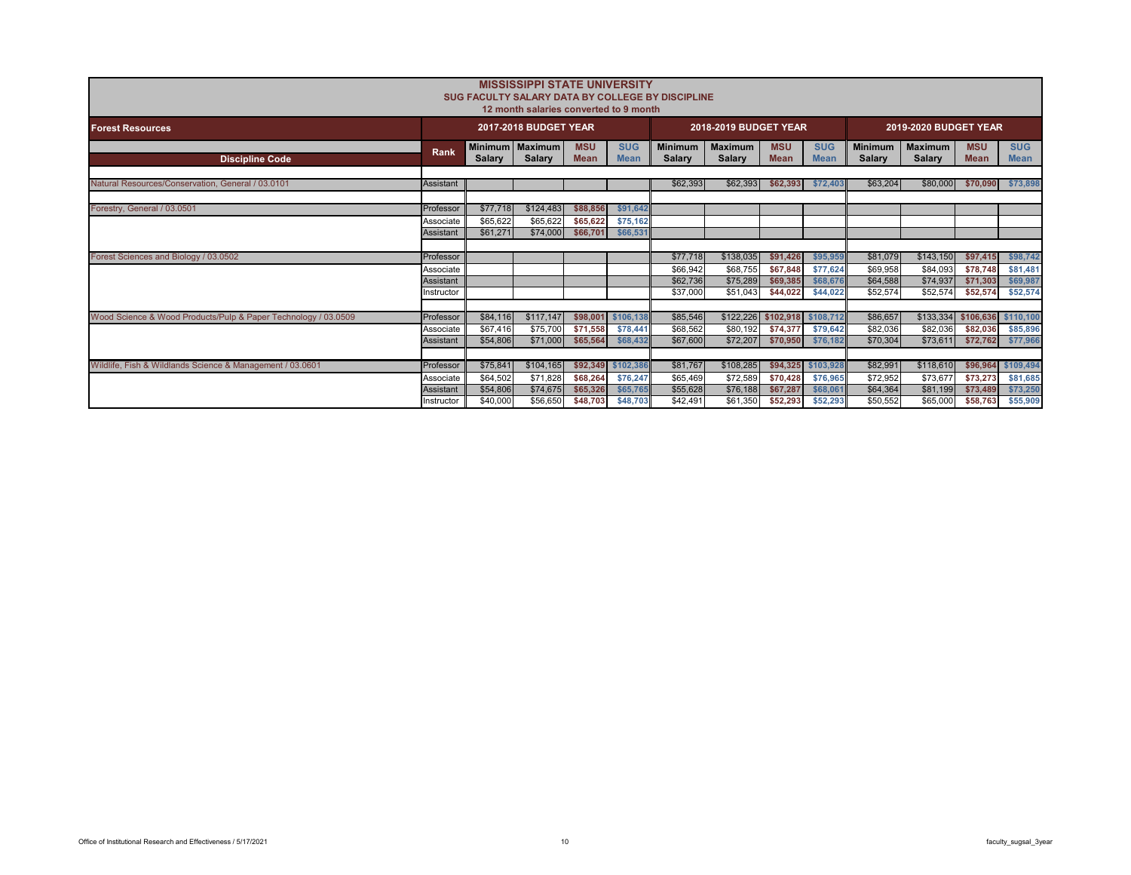|                                                                |                         |                      | <b>MISSISSIPPI STATE UNIVERSITY</b><br>12 month salaries converted to 9 month |                           |                                | SUG FACULTY SALARY DATA BY COLLEGE BY DISCIPLINE |                                 |                           |                                 |                                 |                          |                           |                           |
|----------------------------------------------------------------|-------------------------|----------------------|-------------------------------------------------------------------------------|---------------------------|--------------------------------|--------------------------------------------------|---------------------------------|---------------------------|---------------------------------|---------------------------------|--------------------------|---------------------------|---------------------------|
| <b>Forest Resources</b>                                        |                         |                      | 2017-2018 BUDGET YEAR                                                         |                           |                                |                                                  | 2018-2019 BUDGET YEAR           |                           |                                 |                                 | 2019-2020 BUDGET YEAR    |                           |                           |
| <b>Discipline Code</b>                                         | Rank                    | <b>Salary</b>        | Minimum   Maximum<br><b>Salary</b>                                            | <b>MSU</b><br><b>Mean</b> | <b>SUG</b><br><b>Mean</b>      | <b>Minimum</b><br>Salary                         | <b>Maximum</b><br><b>Salarv</b> | <b>MSU</b><br><b>Mean</b> | <b>SUG</b><br><b>Mean</b>       | <b>Minimum</b><br><b>Salary</b> | <b>Maximum</b><br>Salary | <b>MSU</b><br><b>Mean</b> | <b>SUG</b><br><b>Mean</b> |
| Natural Resources/Conservation, General / 03.0101              | Assistant               |                      |                                                                               |                           |                                | \$62,393                                         | \$62,393                        | \$62,393                  | \$72,403                        | \$63,204                        | \$80,000                 | \$70,090                  | \$73,898                  |
| Forestry, General / 03.0501                                    | Professor               | \$77,718             | \$124,483                                                                     | \$88,856                  | \$91,642                       |                                                  |                                 |                           |                                 |                                 |                          |                           |                           |
|                                                                | Associate<br>Assistant  | \$65,622<br>\$61,271 | \$65,622<br>\$74,000                                                          | \$65,622<br>\$66,701      | \$75,162<br>\$66,531           |                                                  |                                 |                           |                                 |                                 |                          |                           |                           |
| Forest Sciences and Biology / 03.0502                          | Professor               |                      |                                                                               |                           |                                | \$77,718                                         | \$138,035                       | \$91.426                  | \$95,959                        | \$81.079                        | \$143,150                | \$97.415                  | \$98,742                  |
|                                                                | Associate<br>Assistant  |                      |                                                                               |                           |                                | \$66.942<br>\$62,736                             | \$68.755<br>\$75,289            | \$67.848<br>\$69,385      | \$77.624<br>\$68,676            | \$69,958<br>\$64,588            | \$84.093<br>\$74,937     | \$78,748<br>\$71,303      | \$81,481<br>\$69,987      |
|                                                                | nstructor               |                      |                                                                               |                           |                                | \$37,000                                         | \$51.043                        | \$44.022                  | \$44,022                        | \$52,574                        | \$52,574                 | \$52,574                  | \$52,574                  |
| Wood Science & Wood Products/Pulp & Paper Technology / 03.0509 | Professor<br>Associate  | \$84,116<br>\$67,416 | \$117,147<br>\$75,700                                                         | \$98,001<br>\$71,558      | \$106.138<br>\$78,441          | \$85,546<br>\$68,562                             | \$122,226<br>\$80,192           | \$74,377                  | \$102,918 \$108,712<br>\$79,642 | \$86,657<br>\$82,036            | \$133.334<br>\$82,036    | \$106,636<br>\$82,036     | \$110,100<br>\$85,896     |
|                                                                | Assistant               | \$54,806             | \$71,000                                                                      | \$65,564                  | \$68,432                       | \$67,600                                         | \$72,207                        | \$70,950                  | \$76.182                        | \$70,304                        | \$73,611                 | \$72,762                  | \$77,966                  |
| Wildlife, Fish & Wildlands Science & Management / 03.0601      | Professor<br>Associate  | \$75,841<br>\$64,502 | \$104,165<br>\$71,828                                                         | \$68,264                  | \$92,349 \$102,386<br>\$76,247 | \$81,767<br>\$65,469                             | \$108,285<br>\$72,589           | \$70,428                  | \$94,325 \$103,928<br>\$76,965  | \$82,991<br>\$72,952            | \$118,610<br>\$73,677    | \$96,964<br>\$73,273      | \$109,494<br>\$81,685     |
|                                                                | Assistant<br>Instructor | \$54,806<br>\$40,000 | \$74,675<br>\$56,650                                                          | \$65,326<br>\$48,703      | \$65,765<br>\$48,703           | \$55,628<br>\$42.491                             | \$76,188<br>\$61,350            | \$67.287<br>\$52,293      | \$68,061<br>\$52,293            | \$64,364<br>\$50,552            | \$81,199<br>\$65,000     | \$73,489<br>\$58,763      | \$73,250<br>\$55,909      |